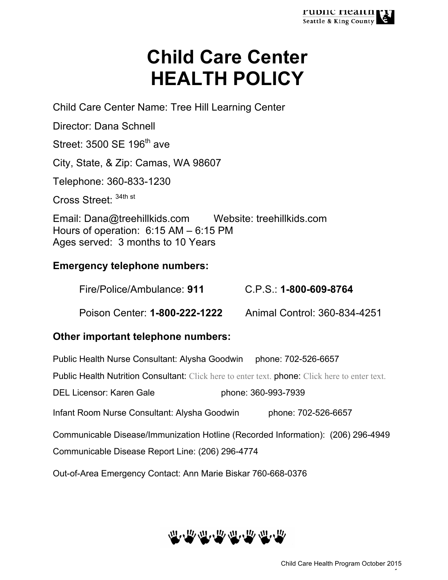# **Child Care Center HEALTH POLICY**

Child Care Center Name: Tree Hill Learning Center

Director: Dana Schnell

Street:  $3500$  SE  $196<sup>th</sup>$  ave

City, State, & Zip: Camas, WA 98607

Telephone: 360-833-1230

Cross Street: 34th st

Email: Dana@treehillkids.com Website: treehillkids.com Hours of operation: 6:15 AM – 6:15 PM Ages served: 3 months to 10 Years

# **Emergency telephone numbers:**

Fire/Police/Ambulance: **911** C.P.S.: **1-800-609-8764**

Poison Center: **1-800-222-1222** Animal Control: 360-834-4251

# **Other important telephone numbers:**

Public Health Nurse Consultant: Alysha Goodwin phone: 702-526-6657

Public Health Nutrition Consultant: Click here to enter text. phone: Click here to enter text.

DEL Licensor: Karen Gale phone: 360-993-7939

Infant Room Nurse Consultant: Alysha Goodwin phone: 702-526-6657

Communicable Disease/Immunization Hotline (Recorded Information): (206) 296-4949

Communicable Disease Report Line: (206) 296-4774

Out-of-Area Emergency Contact: Ann Marie Biskar 760-668-0376



- 1 -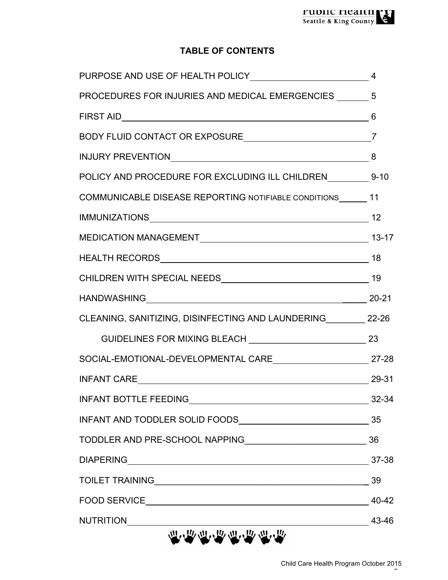# **TABLE OF CONTENTS**

| PROCEDURES FOR INJURIES AND MEDICAL EMERGENCIES _______ 5                                                       |           |
|-----------------------------------------------------------------------------------------------------------------|-----------|
|                                                                                                                 |           |
|                                                                                                                 |           |
| INJURY PREVENTIONNALLY AND AN INTERNATIONAL CONTRACT AND A CONTRACT A CONTRACT OF A CONTRACT OF A CONTRACT OF A | 8         |
| POLICY AND PROCEDURE FOR EXCLUDING ILL CHILDREN _________ 9-10                                                  |           |
| COMMUNICABLE DISEASE REPORTING NOTIFIABLE CONDITIONS ______ 11                                                  |           |
|                                                                                                                 |           |
|                                                                                                                 |           |
|                                                                                                                 |           |
|                                                                                                                 |           |
|                                                                                                                 | $20 - 21$ |
| CLEANING, SANITIZING, DISINFECTING AND LAUNDERING 22-26                                                         |           |
|                                                                                                                 |           |
| SOCIAL-EMOTIONAL-DEVELOPMENTAL CARE 27-28                                                                       |           |
|                                                                                                                 |           |
| INFANT CARE 29-31                                                                                               |           |
| INFANT BOTTLE FEEDING_____<br><u>22-34</u> 32-34                                                                |           |
|                                                                                                                 |           |
|                                                                                                                 |           |
|                                                                                                                 | 37-38     |
|                                                                                                                 |           |
|                                                                                                                 |           |
| NUTRITION 43-46                                                                                                 |           |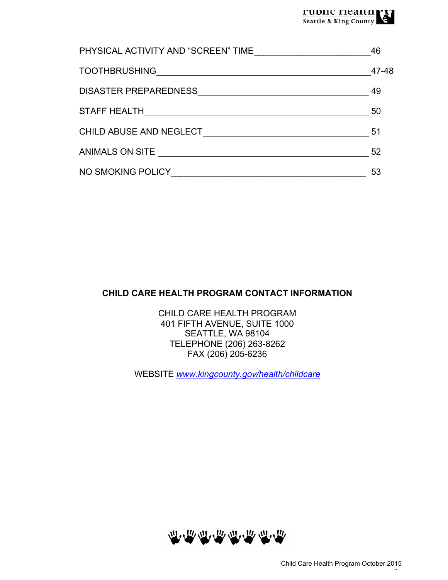| PHYSICAL ACTIVITY AND "SCREEN" TIME | 46    |
|-------------------------------------|-------|
| <b>TOOTHBRUSHING</b>                | 47-48 |
| <b>DISASTER PREPAREDNESS</b>        | 49    |
| <b>STAFF HEALTH</b>                 | 50    |
| CHILD ABUSE AND NEGLECT             | 51    |
| ANIMALS ON SITE                     | 52    |
| NO SMOKING POLICY                   | 53    |

## **CHILD CARE HEALTH PROGRAM CONTACT INFORMATION**

CHILD CARE HEALTH PROGRAM 401 FIFTH AVENUE, SUITE 1000 SEATTLE, WA 98104 TELEPHONE (206) 263-8262 FAX (206) 205-6236

WEBSITE *www.kingcounty.gov/health/childcare*



 $\mathcal{L}$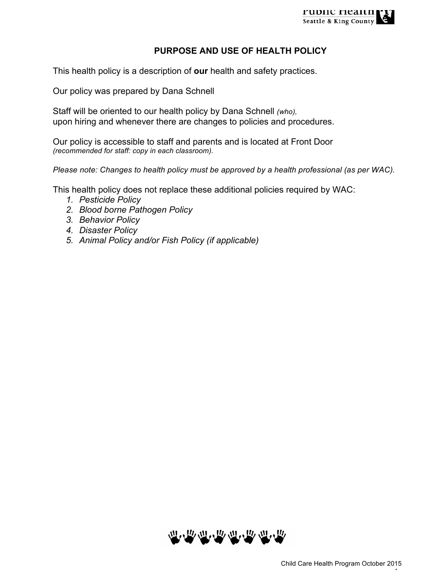

#### **PURPOSE AND USE OF HEALTH POLICY**

This health policy is a description of **our** health and safety practices.

Our policy was prepared by Dana Schnell

Staff will be oriented to our health policy by Dana Schnell *(who),* upon hiring and whenever there are changes to policies and procedures.

Our policy is accessible to staff and parents and is located at Front Door *(recommended for staff: copy in each classroom).*

*Please note: Changes to health policy must be approved by a health professional (as per WAC).*

This health policy does not replace these additional policies required by WAC:

- *1. Pesticide Policy*
- *2. Blood borne Pathogen Policy*
- *3. Behavior Policy*
- *4. Disaster Policy*
- *5. Animal Policy and/or Fish Policy (if applicable)*



 $-$  4  $-$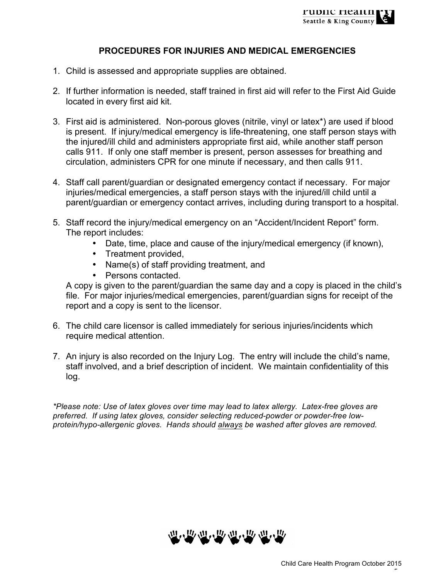#### **PROCEDURES FOR INJURIES AND MEDICAL EMERGENCIES**

- 1. Child is assessed and appropriate supplies are obtained.
- 2. If further information is needed, staff trained in first aid will refer to the First Aid Guide located in every first aid kit.
- 3. First aid is administered. Non-porous gloves (nitrile, vinyl or latex\*) are used if blood is present. If injury/medical emergency is life-threatening, one staff person stays with the injured/ill child and administers appropriate first aid, while another staff person calls 911. If only one staff member is present, person assesses for breathing and circulation, administers CPR for one minute if necessary, and then calls 911.
- 4. Staff call parent/guardian or designated emergency contact if necessary. For major injuries/medical emergencies, a staff person stays with the injured/ill child until a parent/guardian or emergency contact arrives, including during transport to a hospital.
- 5. Staff record the injury/medical emergency on an "Accident/Incident Report" form. The report includes:
	- Date, time, place and cause of the injury/medical emergency (if known),
	- Treatment provided,
	- Name(s) of staff providing treatment, and
	- Persons contacted.

A copy is given to the parent/guardian the same day and a copy is placed in the child's file. For major injuries/medical emergencies, parent/guardian signs for receipt of the report and a copy is sent to the licensor.

- 6. The child care licensor is called immediately for serious injuries/incidents which require medical attention.
- 7. An injury is also recorded on the Injury Log. The entry will include the child's name, staff involved, and a brief description of incident. We maintain confidentiality of this log.

*\*Please note: Use of latex gloves over time may lead to latex allergy. Latex-free gloves are preferred. If using latex gloves, consider selecting reduced-powder or powder-free lowprotein/hypo-allergenic gloves. Hands should always be washed after gloves are removed.*



- 5 -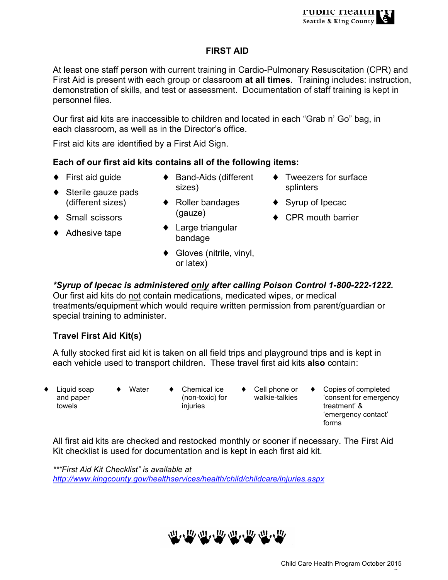## **FIRST AID**

At least one staff person with current training in Cardio-Pulmonary Resuscitation (CPR) and First Aid is present with each group or classroom **at all times**. Training includes: instruction, demonstration of skills, and test or assessment. Documentation of staff training is kept in personnel files.

Our first aid kits are inaccessible to children and located in each "Grab n' Go" bag, in each classroom, as well as in the Director's office.

First aid kits are identified by a First Aid Sign.

## **Each of our first aid kits contains all of the following items:**

 $\blacklozenge$  First aid guide

◆ Sterile gauze pads (different sizes)

- ◆ Band-Aids (different sizes)
- ♦ Roller bandages
- ♦ Small scissors
- ◆ Adhesive tape
- ♦ Large triangular bandage

(gauze)

- ♦ Gloves (nitrile, vinyl, or latex)
- ♦ Tweezers for surface splinters
- ♦ Syrup of Ipecac
- ♦ CPR mouth barrier
- *\*Syrup of Ipecac is administered only after calling Poison Control 1-800-222-1222.*

Our first aid kits do not contain medications, medicated wipes, or medical treatments/equipment which would require written permission from parent/guardian or special training to administer.

## **Travel First Aid Kit(s)**

A fully stocked first aid kit is taken on all field trips and playground trips and is kept in each vehicle used to transport children. These travel first aid kits **also** contain:

- Liquid soap and paper towels
- 
- Water  $\bullet$  Chemical ice (non-toxic) for injuries
- Cell phone or walkie-talkies
- Copies of completed 'consent for emergency treatment' & 'emergency contact' forms

All first aid kits are checked and restocked monthly or sooner if necessary. The First Aid Kit checklist is used for documentation and is kept in each first aid kit.

*\*\*"First Aid Kit Checklist" is available at http://www.kingcounty.gov/healthservices/health/child/childcare/injuries.aspx*



 $\mathcal{L}_{\mathcal{A}}$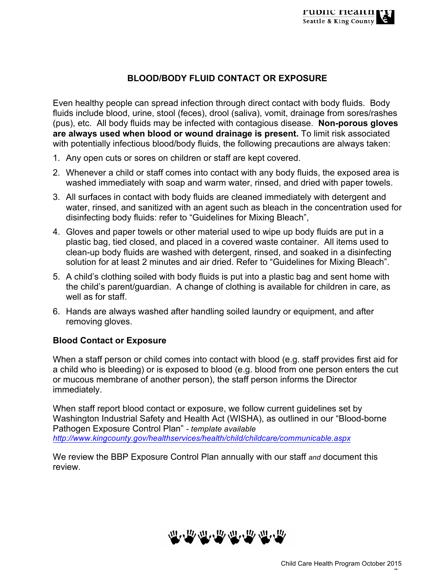## **BLOOD/BODY FLUID CONTACT OR EXPOSURE**

Even healthy people can spread infection through direct contact with body fluids. Body fluids include blood, urine, stool (feces), drool (saliva), vomit, drainage from sores/rashes (pus), etc. All body fluids may be infected with contagious disease. **Non-porous gloves are always used when blood or wound drainage is present.** To limit risk associated with potentially infectious blood/body fluids, the following precautions are always taken:

- 1. Any open cuts or sores on children or staff are kept covered.
- 2. Whenever a child or staff comes into contact with any body fluids, the exposed area is washed immediately with soap and warm water, rinsed, and dried with paper towels.
- 3. All surfaces in contact with body fluids are cleaned immediately with detergent and water, rinsed, and sanitized with an agent such as bleach in the concentration used for disinfecting body fluids: refer to "Guidelines for Mixing Bleach",
- 4. Gloves and paper towels or other material used to wipe up body fluids are put in a plastic bag, tied closed, and placed in a covered waste container. All items used to clean-up body fluids are washed with detergent, rinsed, and soaked in a disinfecting solution for at least 2 minutes and air dried. Refer to "Guidelines for Mixing Bleach".
- 5. A child's clothing soiled with body fluids is put into a plastic bag and sent home with the child's parent/guardian. A change of clothing is available for children in care, as well as for staff.
- 6. Hands are always washed after handling soiled laundry or equipment, and after removing gloves.

### **Blood Contact or Exposure**

When a staff person or child comes into contact with blood (e.g. staff provides first aid for a child who is bleeding) or is exposed to blood (e.g. blood from one person enters the cut or mucous membrane of another person), the staff person informs the Director immediately.

When staff report blood contact or exposure, we follow current guidelines set by Washington Industrial Safety and Health Act (WISHA), as outlined in our "Blood-borne Pathogen Exposure Control Plan" *- template available http://www.kingcounty.gov/healthservices/health/child/childcare/communicable.aspx*

We review the BBP Exposure Control Plan annually with our staff *and* document this review.



- 7 -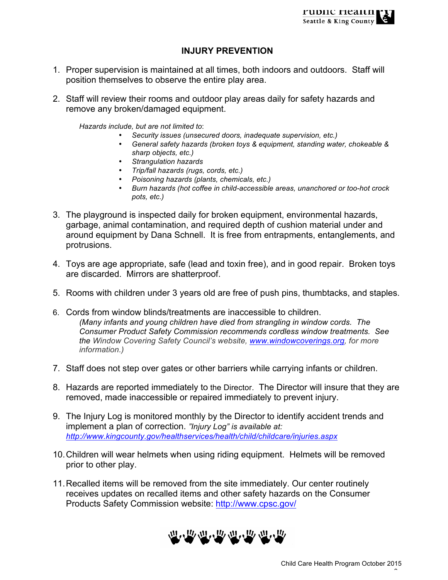## **INJURY PREVENTION**

- 1. Proper supervision is maintained at all times, both indoors and outdoors. Staff will position themselves to observe the entire play area.
- 2. Staff will review their rooms and outdoor play areas daily for safety hazards and remove any broken/damaged equipment.

*Hazards include, but are not limited to*:

- *Security issues (unsecured doors, inadequate supervision, etc.)*
- *General safety hazards (broken toys & equipment, standing water, chokeable & sharp objects, etc.)*
- *Strangulation hazards*
- *Trip/fall hazards (rugs, cords, etc.)*
- *Poisoning hazards (plants, chemicals, etc.)*
- *Burn hazards (hot coffee in child-accessible areas, unanchored or too-hot crock pots, etc.)*
- 3. The playground is inspected daily for broken equipment, environmental hazards, garbage, animal contamination, and required depth of cushion material under and around equipment by Dana Schnell. It is free from entrapments, entanglements, and protrusions.
- 4. Toys are age appropriate, safe (lead and toxin free), and in good repair. Broken toys are discarded. Mirrors are shatterproof.
- 5. Rooms with children under 3 years old are free of push pins, thumbtacks, and staples.
- 6. Cords from window blinds/treatments are inaccessible to children. *(Many infants and young children have died from strangling in window cords. The Consumer Product Safety Commission recommends cordless window treatments. See the Window Covering Safety Council's website, www.windowcoverings.org, for more information.)*
- 7. Staff does not step over gates or other barriers while carrying infants or children.
- 8. Hazards are reported immediately to the Director. The Director will insure that they are removed, made inaccessible or repaired immediately to prevent injury.
- 9. The Injury Log is monitored monthly by the Director to identify accident trends and implement a plan of correction. *"Injury Log" is available at: http://www.kingcounty.gov/healthservices/health/child/childcare/injuries.aspx*
- 10.Children will wear helmets when using riding equipment. Helmets will be removed prior to other play.
- 11.Recalled items will be removed from the site immediately. Our center routinely receives updates on recalled items and other safety hazards on the Consumer Products Safety Commission website: http://www.cpsc.gov/



 $\mathcal{L}_{\mathcal{A}}$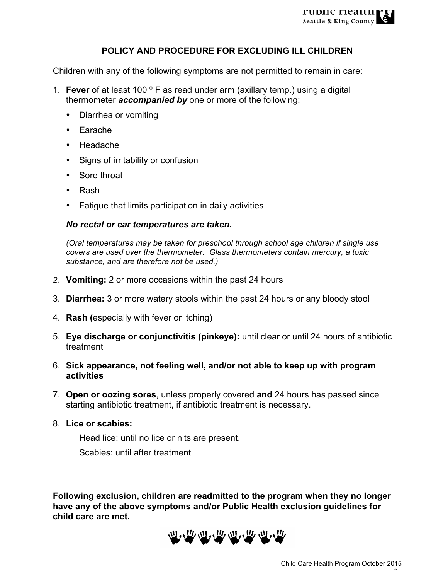

#### **POLICY AND PROCEDURE FOR EXCLUDING ILL CHILDREN**

Children with any of the following symptoms are not permitted to remain in care:

- 1. **Fever** of at least 100 º F as read under arm (axillary temp.) using a digital thermometer *accompanied by* one or more of the following:
	- Diarrhea or vomiting
	- Earache
	- Headache
	- Signs of irritability or confusion
	- Sore throat
	- Rash
	- Fatigue that limits participation in daily activities

#### *No rectal or ear temperatures are taken.*

*(Oral temperatures may be taken for preschool through school age children if single use covers are used over the thermometer. Glass thermometers contain mercury, a toxic substance, and are therefore not be used.)*

- *2.* **Vomiting:** 2 or more occasions within the past 24 hours
- 3. **Diarrhea:** 3 or more watery stools within the past 24 hours or any bloody stool
- 4. **Rash (**especially with fever or itching)
- 5. **Eye discharge or conjunctivitis (pinkeye):** until clear or until 24 hours of antibiotic treatment
- 6. **Sick appearance, not feeling well, and/or not able to keep up with program activities**
- 7. **Open or oozing sores**, unless properly covered **and** 24 hours has passed since starting antibiotic treatment, if antibiotic treatment is necessary.
- 8. **Lice or scabies:**

Head lice: until no lice or nits are present.

Scabies: until after treatment

**Following exclusion, children are readmitted to the program when they no longer have any of the above symptoms and/or Public Health exclusion guidelines for child care are met.** 



 $\mathcal{L}_{\mathcal{D}}$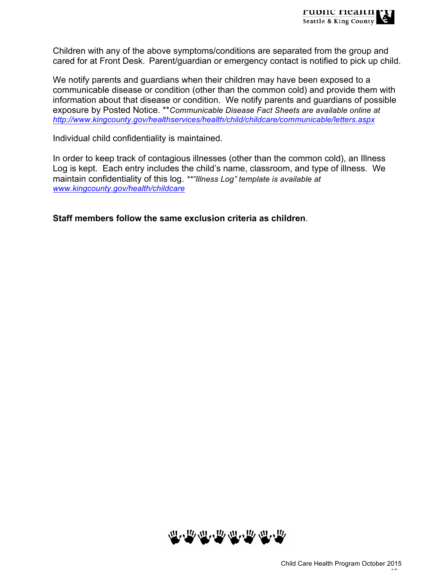Children with any of the above symptoms/conditions are separated from the group and cared for at Front Desk.Parent/guardian or emergency contact is notified to pick up child.

We notify parents and guardians when their children may have been exposed to a communicable disease or condition (other than the common cold) and provide them with information about that disease or condition. We notify parents and guardians of possible exposure by Posted Notice. \*\**Communicable Disease Fact Sheets are available online at http://www.kingcounty.gov/healthservices/health/child/childcare/communicable/letters.aspx*

Individual child confidentiality is maintained.

In order to keep track of contagious illnesses (other than the common cold), an Illness Log is kept. Each entry includes the child's name, classroom, and type of illness. We maintain confidentiality of this log. *\*\*"Illness Log" template is available at www.kingcounty.gov/health/childcare*

**Staff members follow the same exclusion criteria as children**.

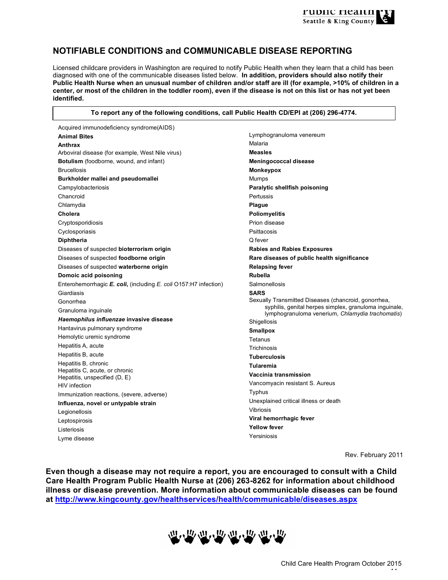

#### **NOTIFIABLE CONDITIONS and COMMUNICABLE DISEASE REPORTING**

Licensed childcare providers in Washington are required to notify Public Health when they learn that a child has been diagnosed with one of the communicable diseases listed below. **In addition, providers should also notify their Public Health Nurse when an unusual number of children and/or staff are ill (for example, >10% of children in a center, or most of the children in the toddler room), even if the disease is not on this list or has not yet been identified.** 

#### **To report any of the following conditions, call Public Health CD/EPI at (206) 296-4774.**

Acquired immunodeficiency syndrome(AIDS) **Animal Bites Anthrax** Arboviral disease (for example, West Nile virus) **Botulism** (foodborne, wound, and infant) Brucellosis **Burkholder mallei and pseudomallei** Campylobacteriosis Chancroid Chlamydia **Cholera**  Cryptosporidiosis Cyclosporiasis **Diphtheria**  Diseases of suspected **bioterrorism origin** Diseases of suspected **foodborne origin** Diseases of suspected **waterborne origin Domoic acid poisoning** Enterohemorrhagic *E. coli***,** (including *E. coli* O157:H7 infection) Giardiasis Gonorrhea Granuloma inguinale *Haemophilus influenzae* **invasive disease**  Hantavirus pulmonary syndrome Hemolytic uremic syndrome Hepatitis A, acute Hepatitis B, acute Hepatitis B, chronic Hepatitis C, acute, or chronic Hepatitis, unspecified (D, E) HIV infection Immunization reactions, (severe, adverse) **Influenza, novel or untypable strain** Legionellosis Leptospirosis Listeriosis Lyme disease

Lymphogranuloma venereum Malaria **Measles Meningococcal disease Monkeypox** Mumps **Paralytic shellfish poisoning**  Pertussis **Plague Poliomyelitis** Prion disease Psittacosis Q fever **Rabies and Rabies Exposures Rare diseases of public health significance Relapsing fever Rubella** Salmonellosis **SARS** Sexually Transmitted Diseases (chancroid, gonorrhea, syphilis, genital herpes simplex, granuloma inguinale, lymphogranuloma venerium, *Chlamydia trachomatis*) Shigellosis **Smallpox** Tetanus **Trichinosis Tuberculosis Tularemia Vaccinia transmission** Vancomyacin resistant S. Aureus **Typhus** Unexplained critical illness or death Vibriosis **Viral hemorrhagic fever Yellow fever**  Yersiniosis

Rev. February 2011

**Even though a disease may not require a report, you are encouraged to consult with a Child Care Health Program Public Health Nurse at (206) 263-8262 for information about childhood illness or disease prevention. More information about communicable diseases can be found at http://www.kingcounty.gov/healthservices/health/communicable/diseases.aspx**

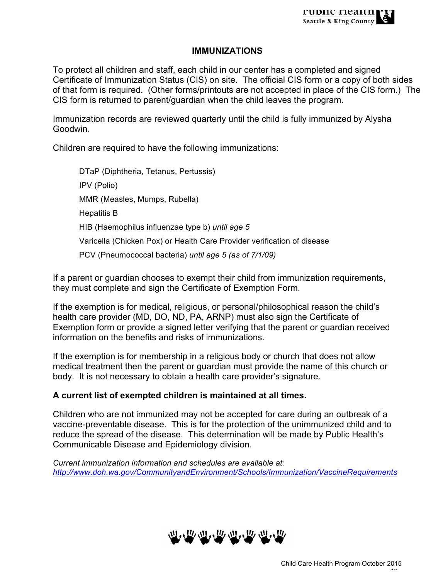#### **IMMUNIZATIONS**

To protect all children and staff, each child in our center has a completed and signed Certificate of Immunization Status (CIS) on site. The official CIS form or a copy of both sides of that form is required. (Other forms/printouts are not accepted in place of the CIS form.) The CIS form is returned to parent/guardian when the child leaves the program.

Immunization records are reviewed quarterly until the child is fully immunized by Alysha Goodwin*.*

Children are required to have the following immunizations:

DTaP (Diphtheria, Tetanus, Pertussis) IPV (Polio) MMR (Measles, Mumps, Rubella) Hepatitis B HIB (Haemophilus influenzae type b) *until age 5* Varicella (Chicken Pox) or Health Care Provider verification of disease PCV (Pneumococcal bacteria) *until age 5 (as of 7/1/09)*

If a parent or guardian chooses to exempt their child from immunization requirements, they must complete and sign the Certificate of Exemption Form.

If the exemption is for medical, religious, or personal/philosophical reason the child's health care provider (MD, DO, ND, PA, ARNP) must also sign the Certificate of Exemption form or provide a signed letter verifying that the parent or guardian received information on the benefits and risks of immunizations.

If the exemption is for membership in a religious body or church that does not allow medical treatment then the parent or guardian must provide the name of this church or body. It is not necessary to obtain a health care provider's signature.

### **A current list of exempted children is maintained at all times.**

Children who are not immunized may not be accepted for care during an outbreak of a vaccine-preventable disease. This is for the protection of the unimmunized child and to reduce the spread of the disease. This determination will be made by Public Health's Communicable Disease and Epidemiology division.

*Current immunization information and schedules are available at: http://www.doh.wa.gov/CommunityandEnvironment/Schools/Immunization/VaccineRequirements*

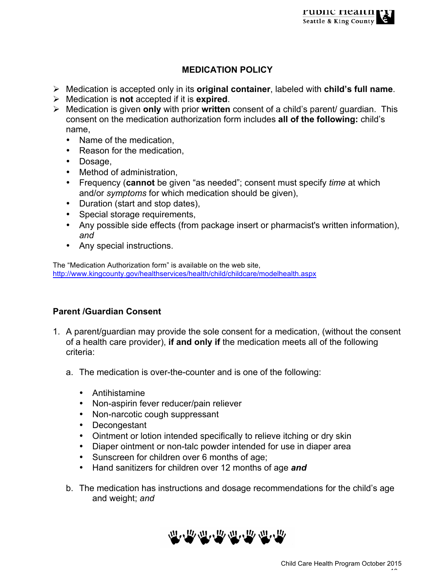# **MEDICATION POLICY**

- Ø Medication is accepted only in its **original container**, labeled with **child's full name**.
- Ø Medication is **not** accepted if it is **expired**.
- Ø Medication is given **only** with prior **written** consent of a child's parent/ guardian. This consent on the medication authorization form includes **all of the following:** child's name,
	- Name of the medication,
	- Reason for the medication,
	- Dosage,
	- Method of administration,
	- Frequency (**cannot** be given "as needed"; consent must specify *time* at which and/or *symptoms* for which medication should be given),
	- Duration (start and stop dates),
	- Special storage requirements,
	- Any possible side effects (from package insert or pharmacist's written information), *and*
	- Any special instructions.

The "Medication Authorization form" is available on the web site, http://www.kingcounty.gov/healthservices/health/child/childcare/modelhealth.aspx

## **Parent /Guardian Consent**

- 1. A parent/guardian may provide the sole consent for a medication, (without the consent of a health care provider), **if and only if** the medication meets all of the following criteria:
	- a. The medication is over-the-counter and is one of the following:
		- Antihistamine
		- Non-aspirin fever reducer/pain reliever
		- Non-narcotic cough suppressant
		- Decongestant
		- Ointment or lotion intended specifically to relieve itching or dry skin
		- Diaper ointment or non-talc powder intended for use in diaper area
		- Sunscreen for children over 6 months of age;
		- Hand sanitizers for children over 12 months of age *and*
	- b. The medication has instructions and dosage recommendations for the child's age and weight; *and*

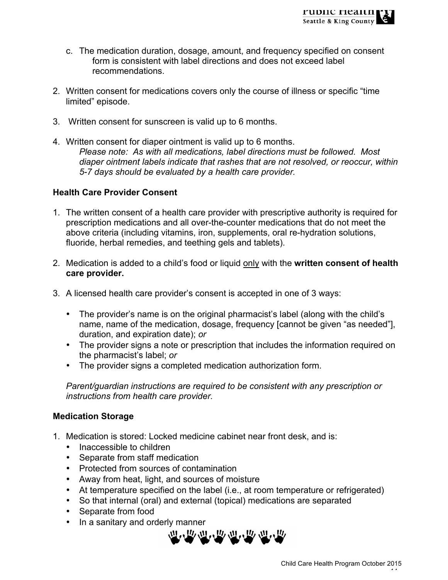- c. The medication duration, dosage, amount, and frequency specified on consent form is consistent with label directions and does not exceed label recommendations.
- 2. Written consent for medications covers only the course of illness or specific "time limited" episode.
- 3. Written consent for sunscreen is valid up to 6 months.
- 4. Written consent for diaper ointment is valid up to 6 months. *Please note: As with all medications, label directions must be followed. Most diaper ointment labels indicate that rashes that are not resolved, or reoccur, within 5-7 days should be evaluated by a health care provider.*

## **Health Care Provider Consent**

- 1. The written consent of a health care provider with prescriptive authority is required for prescription medications and all over-the-counter medications that do not meet the above criteria (including vitamins, iron, supplements, oral re-hydration solutions, fluoride, herbal remedies, and teething gels and tablets).
- 2. Medication is added to a child's food or liquid only with the **written consent of health care provider.**
- 3. A licensed health care provider's consent is accepted in one of 3 ways:
	- The provider's name is on the original pharmacist's label (along with the child's name, name of the medication, dosage, frequency [cannot be given "as needed"], duration, and expiration date); *or*
	- The provider signs a note or prescription that includes the information required on the pharmacist's label; *or*
	- The provider signs a completed medication authorization form.

*Parent/guardian instructions are required to be consistent with any prescription or instructions from health care provider.*

### **Medication Storage**

- 1. Medication is stored: Locked medicine cabinet near front desk, and is:
	- Inaccessible to children
	- Separate from staff medication
	- Protected from sources of contamination
	- Away from heat, light, and sources of moisture
	- At temperature specified on the label (i.e., at room temperature or refrigerated)
	- So that internal (oral) and external (topical) medications are separated
	- Separate from food
	- In a sanitary and orderly manner

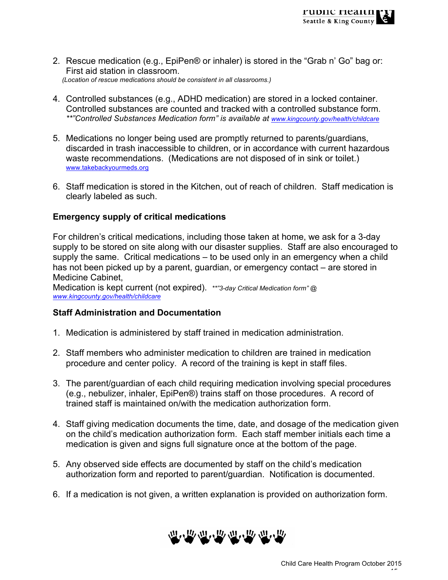- 2. Rescue medication (e.g., EpiPen® or inhaler) is stored in the "Grab n' Go" bag or: First aid station in classroom. *(Location of rescue medications should be consistent in all classrooms.)*
- 4. Controlled substances (e.g., ADHD medication) are stored in a locked container. Controlled substances are counted and tracked with a controlled substance form. *\*\*"Controlled Substances Medication form" is available at www.kingcounty.gov/health/childcare*
- 5. Medications no longer being used are promptly returned to parents/guardians, discarded in trash inaccessible to children, or in accordance with current hazardous waste recommendations. (Medications are not disposed of in sink or toilet.) www.takebackyourmeds.org
- 6. Staff medication is stored in the Kitchen, out of reach of children. Staff medication is clearly labeled as such.

### **Emergency supply of critical medications**

For children's critical medications, including those taken at home, we ask for a 3-day supply to be stored on site along with our disaster supplies. Staff are also encouraged to supply the same. Critical medications – to be used only in an emergency when a child has not been picked up by a parent, guardian, or emergency contact – are stored in Medicine Cabinet,

Medication is kept current (not expired). *\*\*"3-day Critical Medication form" @ www.kingcounty.gov/health/childcare*

### **Staff Administration and Documentation**

- 1. Medication is administered by staff trained in medication administration.
- 2. Staff members who administer medication to children are trained in medication procedure and center policy. A record of the training is kept in staff files.
- 3. The parent/guardian of each child requiring medication involving special procedures (e.g., nebulizer, inhaler, EpiPen®) trains staff on those procedures. A record of trained staff is maintained on/with the medication authorization form.
- 4. Staff giving medication documents the time, date, and dosage of the medication given on the child's medication authorization form. Each staff member initials each time a medication is given and signs full signature once at the bottom of the page.
- 5. Any observed side effects are documented by staff on the child's medication authorization form and reported to parent/guardian. Notification is documented.
- 6. If a medication is not given, a written explanation is provided on authorization form.

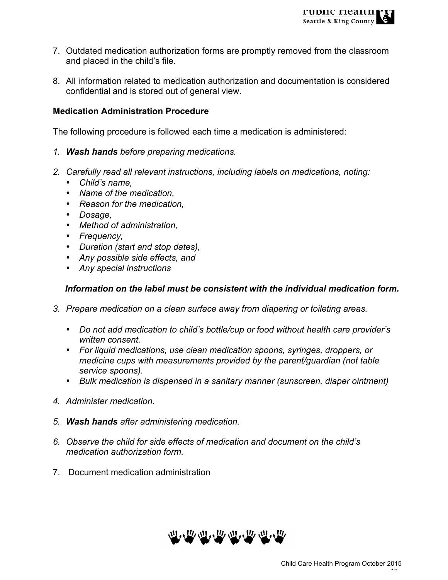- 7. Outdated medication authorization forms are promptly removed from the classroom and placed in the child's file.
- 8. All information related to medication authorization and documentation is considered confidential and is stored out of general view.

### **Medication Administration Procedure**

The following procedure is followed each time a medication is administered:

- *1. Wash hands before preparing medications.*
- *2. Carefully read all relevant instructions, including labels on medications, noting:*
	- *Child's name,*
	- *Name of the medication,*
	- *Reason for the medication,*
	- *Dosage,*
	- *Method of administration,*
	- *Frequency,*
	- *Duration (start and stop dates),*
	- *Any possible side effects, and*
	- *Any special instructions*

#### *Information on the label must be consistent with the individual medication form.*

- *3. Prepare medication on a clean surface away from diapering or toileting areas.*
	- *Do not add medication to child's bottle/cup or food without health care provider's written consent.*
	- *For liquid medications, use clean medication spoons, syringes, droppers, or medicine cups with measurements provided by the parent/guardian (not table service spoons).*
	- *Bulk medication is dispensed in a sanitary manner (sunscreen, diaper ointment)*
- *4. Administer medication.*
- *5. Wash hands after administering medication.*
- *6. Observe the child for side effects of medication and document on the child's medication authorization form.*
- 7. Document medication administration

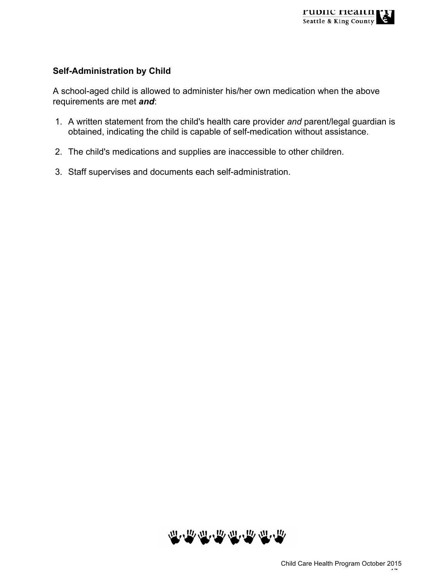## **Self-Administration by Child**

A school-aged child is allowed to administer his/her own medication when the above requirements are met *and*:

- 1. A written statement from the child's health care provider *and* parent/legal guardian is obtained, indicating the child is capable of self-medication without assistance.
- 2. The child's medications and supplies are inaccessible to other children.
- 3. Staff supervises and documents each self-administration.

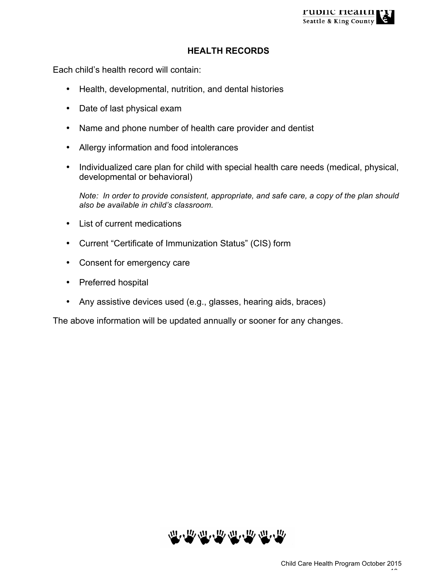#### **HEALTH RECORDS**

Each child's health record will contain:

- Health, developmental, nutrition, and dental histories
- Date of last physical exam
- Name and phone number of health care provider and dentist
- Allergy information and food intolerances
- Individualized care plan for child with special health care needs (medical, physical, developmental or behavioral)

*Note: In order to provide consistent, appropriate, and safe care, a copy of the plan should also be available in child's classroom.*

- List of current medications
- Current "Certificate of Immunization Status" (CIS) form
- Consent for emergency care
- Preferred hospital
- Any assistive devices used (e.g., glasses, hearing aids, braces)

The above information will be updated annually or sooner for any changes.

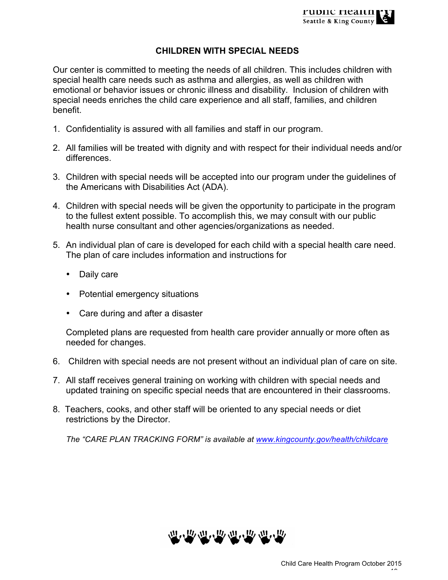## **CHILDREN WITH SPECIAL NEEDS**

Our center is committed to meeting the needs of all children. This includes children with special health care needs such as asthma and allergies, as well as children with emotional or behavior issues or chronic illness and disability. Inclusion of children with special needs enriches the child care experience and all staff, families, and children benefit.

- 1. Confidentiality is assured with all families and staff in our program.
- 2. All families will be treated with dignity and with respect for their individual needs and/or differences.
- 3. Children with special needs will be accepted into our program under the guidelines of the Americans with Disabilities Act (ADA).
- 4. Children with special needs will be given the opportunity to participate in the program to the fullest extent possible. To accomplish this, we may consult with our public health nurse consultant and other agencies/organizations as needed.
- 5. An individual plan of care is developed for each child with a special health care need. The plan of care includes information and instructions for
	- Daily care
	- Potential emergency situations
	- Care during and after a disaster

Completed plans are requested from health care provider annually or more often as needed for changes.

- 6. Children with special needs are not present without an individual plan of care on site.
- 7. All staff receives general training on working with children with special needs and updated training on specific special needs that are encountered in their classrooms.
- 8. Teachers, cooks, and other staff will be oriented to any special needs or diet restrictions by the Director.

*The "CARE PLAN TRACKING FORM" is available at www.kingcounty.gov/health/childcare*

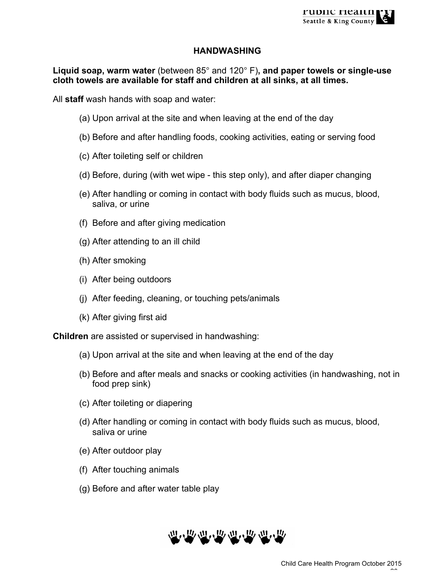#### **HANDWASHING**

**Liquid soap, warm water** (between 85° and 120° F)**, and paper towels or single-use cloth towels are available for staff and children at all sinks, at all times.**

All **staff** wash hands with soap and water:

- (a) Upon arrival at the site and when leaving at the end of the day
- (b) Before and after handling foods, cooking activities, eating or serving food
- (c) After toileting self or children
- (d) Before, during (with wet wipe this step only), and after diaper changing
- (e) After handling or coming in contact with body fluids such as mucus, blood, saliva, or urine
- (f) Before and after giving medication
- (g) After attending to an ill child
- (h) After smoking
- (i) After being outdoors
- (j) After feeding, cleaning, or touching pets/animals
- (k) After giving first aid

**Children** are assisted or supervised in handwashing:

- (a) Upon arrival at the site and when leaving at the end of the day
- (b) Before and after meals and snacks or cooking activities (in handwashing, not in food prep sink)
- (c) After toileting or diapering
- (d) After handling or coming in contact with body fluids such as mucus, blood, saliva or urine
- (e) After outdoor play
- (f) After touching animals
- (g) Before and after water table play

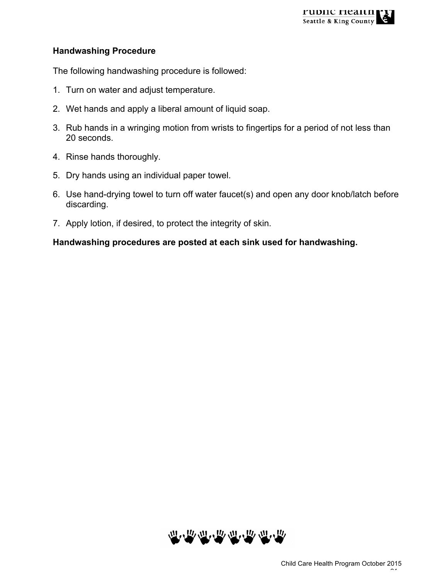

#### **Handwashing Procedure**

The following handwashing procedure is followed:

- 1. Turn on water and adjust temperature.
- 2. Wet hands and apply a liberal amount of liquid soap.
- 3. Rub hands in a wringing motion from wrists to fingertips for a period of not less than 20 seconds.
- 4. Rinse hands thoroughly.
- 5. Dry hands using an individual paper towel.
- 6. Use hand-drying towel to turn off water faucet(s) and open any door knob/latch before discarding.
- 7. Apply lotion, if desired, to protect the integrity of skin.

#### **Handwashing procedures are posted at each sink used for handwashing.**

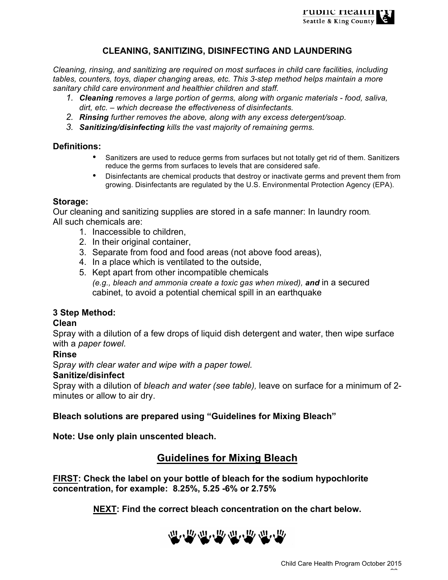

#### **CLEANING, SANITIZING, DISINFECTING AND LAUNDERING**

*Cleaning, rinsing, and sanitizing are required on most surfaces in child care facilities, including tables, counters, toys, diaper changing areas, etc. This 3-step method helps maintain a more sanitary child care environment and healthier children and staff.*

- *1. Cleaning removes a large portion of germs, along with organic materials - food, saliva, dirt, etc. – which decrease the effectiveness of disinfectants.*
- *2. Rinsing further removes the above, along with any excess detergent/soap.*
- *3. Sanitizing/disinfecting kills the vast majority of remaining germs.*

#### **Definitions:**

- Sanitizers are used to reduce germs from surfaces but not totally get rid of them. Sanitizers reduce the germs from surfaces to levels that are considered safe.
- Disinfectants are chemical products that destroy or inactivate germs and prevent them from growing. Disinfectants are regulated by the U.S. Environmental Protection Agency (EPA).

#### **Storage:**

Our cleaning and sanitizing supplies are stored in a safe manner: In laundry room*.*  All such chemicals are:

- 1. Inaccessible to children,
- 2. In their original container,
- 3. Separate from food and food areas (not above food areas),
- 4. In a place which is ventilated to the outside,
- 5. Kept apart from other incompatible chemicals *(e.g., bleach and ammonia create a toxic gas when mixed), and* in a secured cabinet, to avoid a potential chemical spill in an earthquake

#### **3 Step Method:**

#### **Clean**

Spray with a dilution of a few drops of liquid dish detergent and water, then wipe surface with a *paper towel.*

#### **Rinse**

S*pray with clear water and wipe with a paper towel.*

#### **Sanitize/disinfect**

Spray with a dilution of *bleach and water (see table),* leave on surface for a minimum of 2 minutes or allow to air dry.

#### **Bleach solutions are prepared using "Guidelines for Mixing Bleach"**

**Note: Use only plain unscented bleach.**

## **Guidelines for Mixing Bleach**

**FIRST: Check the label on your bottle of bleach for the sodium hypochlorite concentration, for example: 8.25%, 5.25 -6% or 2.75%**

**NEXT: Find the correct bleach concentration on the chart below.**

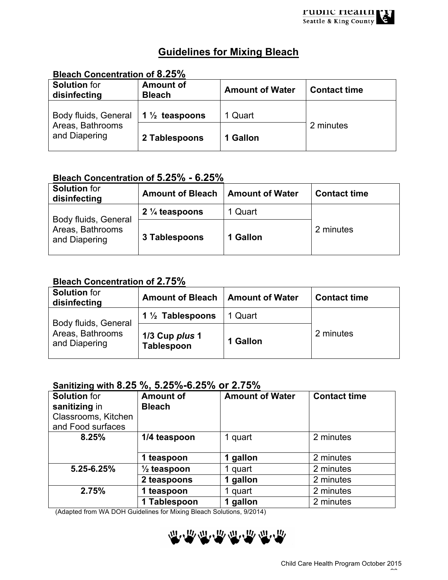# **Guidelines for Mixing Bleach**

# **Bleach Concentration of 8.25%**

| <b>Solution</b> for<br>disinfecting                       | <b>Amount of</b><br><b>Bleach</b> | <b>Amount of Water</b> | <b>Contact time</b> |
|-----------------------------------------------------------|-----------------------------------|------------------------|---------------------|
| Body fluids, General<br>Areas, Bathrooms<br>and Diapering | 1 $\frac{1}{2}$ teaspoons         | 1 Quart                |                     |
|                                                           | 2 Tablespoons                     | 1 Gallon               | 2 minutes           |

## **Bleach Concentration of 5.25% - 6.25%**

| <b>Solution</b> for<br>disinfecting                       | <b>Amount of Bleach</b>   | <b>Amount of Water</b> | <b>Contact time</b> |
|-----------------------------------------------------------|---------------------------|------------------------|---------------------|
| Body fluids, General<br>Areas, Bathrooms<br>and Diapering | 2 $\frac{1}{4}$ teaspoons | 1 Quart                |                     |
|                                                           | 3 Tablespoons             | 1 Gallon               | 2 minutes           |

## **Bleach Concentration of 2.75%**

| <b>Solution</b> for<br>disinfecting                       | <b>Amount of Bleach</b>      | <b>Amount of Water</b> | <b>Contact time</b> |
|-----------------------------------------------------------|------------------------------|------------------------|---------------------|
| Body fluids, General<br>Areas, Bathrooms<br>and Diapering | 1 $\frac{1}{2}$ Tablespoons  | 1 Quart                |                     |
|                                                           | 1/3 Cup plus 1<br>Tablespoon | 1 Gallon               | 2 minutes           |

## **Sanitizing with 8.25 %, 5.25%-6.25% or 2.75%**

| <b>Solution</b> for<br>sanitizing in<br>Classrooms, Kitchen<br>and Food surfaces | <b>Amount of</b><br><b>Bleach</b> | <b>Amount of Water</b> | <b>Contact time</b> |
|----------------------------------------------------------------------------------|-----------------------------------|------------------------|---------------------|
| 8.25%                                                                            | 1/4 teaspoon                      | 1 quart                | 2 minutes           |
|                                                                                  | 1 teaspoon                        | 1 gallon               | 2 minutes           |
| 5.25-6.25%                                                                       | $\frac{1}{2}$ teaspoon            | 1 quart                | 2 minutes           |
|                                                                                  | 2 teaspoons                       | 1 gallon               | 2 minutes           |
| 2.75%                                                                            | 1 teaspoon                        | 1 quart                | 2 minutes           |
|                                                                                  | 1 Tablespoon                      | 1 gallon               | 2 minutes           |

(Adapted from WA DOH Guidelines for Mixing Bleach Solutions, 9/2014)

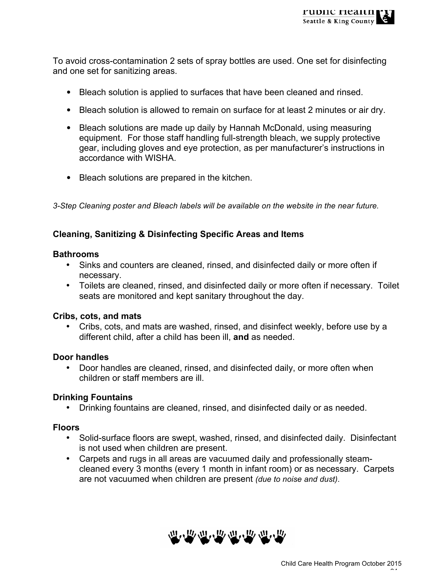To avoid cross-contamination 2 sets of spray bottles are used. One set for disinfecting and one set for sanitizing areas.

- Bleach solution is applied to surfaces that have been cleaned and rinsed.
- Bleach solution is allowed to remain on surface for at least 2 minutes or air dry.
- Bleach solutions are made up daily by Hannah McDonald, using measuring equipment. For those staff handling full-strength bleach, we supply protective gear, including gloves and eye protection, as per manufacturer's instructions in accordance with WISHA.
- Bleach solutions are prepared in the kitchen.

*3-Step Cleaning poster and Bleach labels will be available on the website in the near future.* 

## **Cleaning, Sanitizing & Disinfecting Specific Areas and Items**

#### **Bathrooms**

- Sinks and counters are cleaned, rinsed, and disinfected daily or more often if necessary.
- Toilets are cleaned, rinsed, and disinfected daily or more often if necessary. Toilet seats are monitored and kept sanitary throughout the day.

### **Cribs, cots, and mats**

• Cribs, cots, and mats are washed, rinsed, and disinfect weekly, before use by a different child, after a child has been ill, **and** as needed.

### **Door handles**

• Door handles are cleaned, rinsed, and disinfected daily, or more often when children or staff members are ill.

### **Drinking Fountains**

• Drinking fountains are cleaned, rinsed, and disinfected daily or as needed.

### **Floors**

- Solid-surface floors are swept, washed, rinsed, and disinfected daily. Disinfectant is not used when children are present.
- Carpets and rugs in all areas are vacuumed daily and professionally steamcleaned every 3 months (every 1 month in infant room) or as necessary. Carpets are not vacuumed when children are present *(due to noise and dust)*.

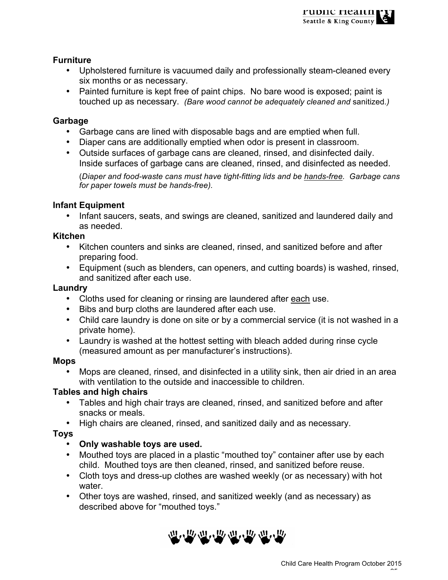#### **Furniture**

- Upholstered furniture is vacuumed daily and professionally steam-cleaned every six months or as necessary.
- Painted furniture is kept free of paint chips. No bare wood is exposed; paint is touched up as necessary. *(Bare wood cannot be adequately cleaned and* sanitized*.)*

#### **Garbage**

- Garbage cans are lined with disposable bags and are emptied when full.
- Diaper cans are additionally emptied when odor is present in classroom.
- Outside surfaces of garbage cans are cleaned, rinsed, and disinfected daily. Inside surfaces of garbage cans are cleaned, rinsed, and disinfected as needed.

(*Diaper and food-waste cans must have tight-fitting lids and be hands-free. Garbage cans for paper towels must be hands-free).*

#### **Infant Equipment**

• Infant saucers, seats, and swings are cleaned, sanitized and laundered daily and as needed.

#### **Kitchen**

- Kitchen counters and sinks are cleaned, rinsed, and sanitized before and after preparing food.
- Equipment (such as blenders, can openers, and cutting boards) is washed, rinsed, and sanitized after each use.

#### **Laundry**

- Cloths used for cleaning or rinsing are laundered after each use.
- Bibs and burp cloths are laundered after each use.
- Child care laundry is done on site or by a commercial service (it is not washed in a private home).
- Laundry is washed at the hottest setting with bleach added during rinse cycle (measured amount as per manufacturer's instructions).

#### **Mops**

• Mops are cleaned, rinsed, and disinfected in a utility sink, then air dried in an area with ventilation to the outside and inaccessible to children.

### **Tables and high chairs**

- Tables and high chair trays are cleaned, rinsed, and sanitized before and after snacks or meals.
- High chairs are cleaned, rinsed, and sanitized daily and as necessary.

### **Toys**

### • **Only washable toys are used.**

- Mouthed toys are placed in a plastic "mouthed toy" container after use by each child. Mouthed toys are then cleaned, rinsed, and sanitized before reuse.
- Cloth toys and dress-up clothes are washed weekly (or as necessary) with hot water.
- Other toys are washed, rinsed, and sanitized weekly (and as necessary) as described above for "mouthed toys."

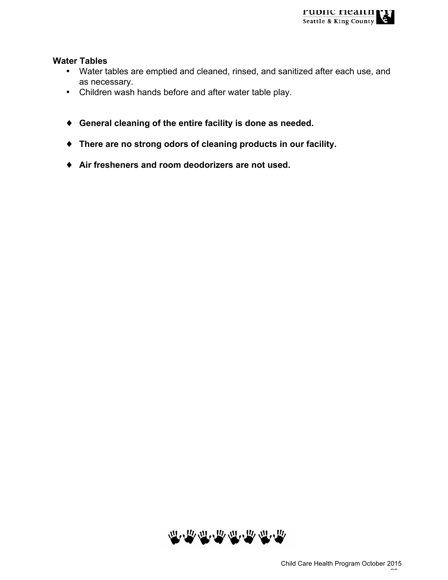#### **Water Tables**

- Water tables are emptied and cleaned, rinsed, and sanitized after each use, and as necessary.
- Children wash hands before and after water table play.
- ♦ **General cleaning of the entire facility is done as needed.**
- ♦ **There are no strong odors of cleaning products in our facility.**
- ♦ **Air fresheners and room deodorizers are not used.**

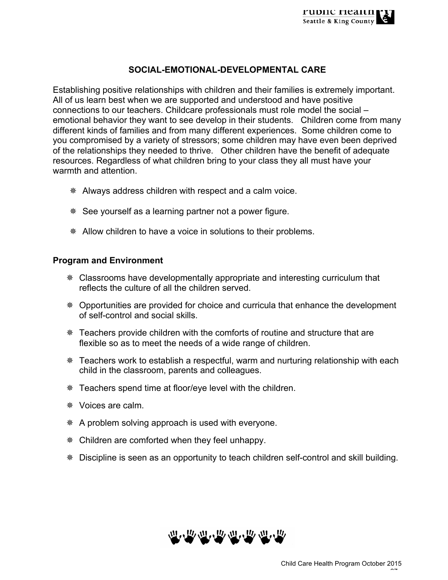## **SOCIAL-EMOTIONAL-DEVELOPMENTAL CARE**

Establishing positive relationships with children and their families is extremely important. All of us learn best when we are supported and understood and have positive connections to our teachers. Childcare professionals must role model the social – emotional behavior they want to see develop in their students. Children come from many different kinds of families and from many different experiences. Some children come to you compromised by a variety of stressors; some children may have even been deprived of the relationships they needed to thrive. Other children have the benefit of adequate resources. Regardless of what children bring to your class they all must have your warmth and attention.

- ¯ Always address children with respect and a calm voice.
- ¯ See yourself as a learning partner not a power figure.
- \* Allow children to have a voice in solutions to their problems.

#### **Program and Environment**

- \* Classrooms have developmentally appropriate and interesting curriculum that reflects the culture of all the children served.
- ¯ Opportunities are provided for choice and curricula that enhance the development of self-control and social skills.
- ¯ Teachers provide children with the comforts of routine and structure that are flexible so as to meet the needs of a wide range of children.
- ¯ Teachers work to establish a respectful, warm and nurturing relationship with each child in the classroom, parents and colleagues.
- ¯ Teachers spend time at floor/eye level with the children.
- \* Voices are calm.
- \* A problem solving approach is used with everyone.
- ¯ Children are comforted when they feel unhappy.
- ¯ Discipline is seen as an opportunity to teach children self-control and skill building.

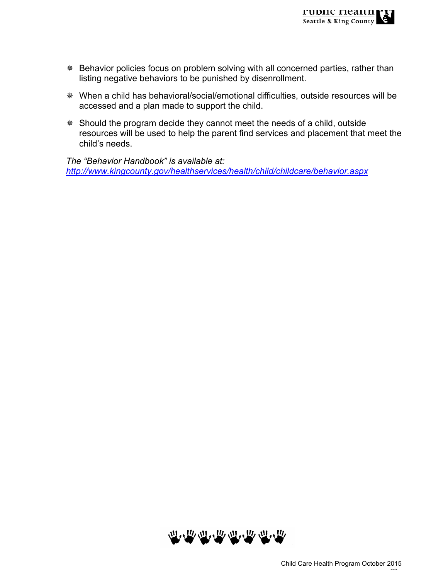- \* Behavior policies focus on problem solving with all concerned parties, rather than listing negative behaviors to be punished by disenrollment.
- ¯ When a child has behavioral/social/emotional difficulties, outside resources will be accessed and a plan made to support the child.
- \* Should the program decide they cannot meet the needs of a child, outside resources will be used to help the parent find services and placement that meet the child's needs.

*The "Behavior Handbook" is available at: http://www.kingcounty.gov/healthservices/health/child/childcare/behavior.aspx*

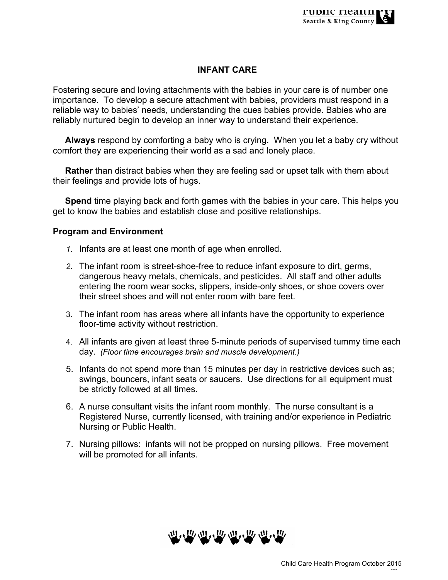## **INFANT CARE**

Fostering secure and loving attachments with the babies in your care is of number one importance. To develop a secure attachment with babies, providers must respond in a reliable way to babies' needs, understanding the cues babies provide. Babies who are reliably nurtured begin to develop an inner way to understand their experience.

 **Always** respond by comforting a baby who is crying. When you let a baby cry without comfort they are experiencing their world as a sad and lonely place.

 **Rather** than distract babies when they are feeling sad or upset talk with them about their feelings and provide lots of hugs.

 **Spend** time playing back and forth games with the babies in your care. This helps you get to know the babies and establish close and positive relationships.

#### **Program and Environment**

- *1.* Infants are at least one month of age when enrolled.
- *2.* The infant room is street-shoe-free to reduce infant exposure to dirt, germs, dangerous heavy metals, chemicals, and pesticides. All staff and other adults entering the room wear socks, slippers, inside-only shoes, or shoe covers over their street shoes and will not enter room with bare feet.
- 3. The infant room has areas where all infants have the opportunity to experience floor-time activity without restriction.
- 4. All infants are given at least three 5-minute periods of supervised tummy time each day. *(Floor time encourages brain and muscle development.)*
- 5. Infants do not spend more than 15 minutes per day in restrictive devices such as; swings, bouncers, infant seats or saucers. Use directions for all equipment must be strictly followed at all times.
- 6. A nurse consultant visits the infant room monthly. The nurse consultant is a Registered Nurse, currently licensed, with training and/or experience in Pediatric Nursing or Public Health.
- 7. Nursing pillows: infants will not be propped on nursing pillows. Free movement will be promoted for all infants.

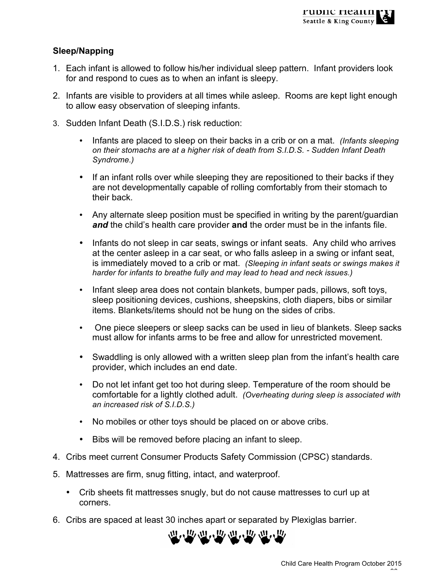## **Sleep/Napping**

- 1. Each infant is allowed to follow his/her individual sleep pattern. Infant providers look for and respond to cues as to when an infant is sleepy.
- 2. Infants are visible to providers at all times while asleep. Rooms are kept light enough to allow easy observation of sleeping infants.
- 3. Sudden Infant Death (S.I.D.S.) risk reduction:
	- Infants are placed to sleep on their backs in a crib or on a mat. *(Infants sleeping on their stomachs are at a higher risk of death from S.I.D.S. - Sudden Infant Death Syndrome.)*
	- If an infant rolls over while sleeping they are repositioned to their backs if they are not developmentally capable of rolling comfortably from their stomach to their back.
	- Any alternate sleep position must be specified in writing by the parent/guardian *and* the child's health care provider **and** the order must be in the infants file.
	- Infants do not sleep in car seats, swings or infant seats. Any child who arrives at the center asleep in a car seat, or who falls asleep in a swing or infant seat, is immediately moved to a crib or mat. *(Sleeping in infant seats or swings makes it harder for infants to breathe fully and may lead to head and neck issues.)*
	- Infant sleep area does not contain blankets, bumper pads, pillows, soft toys, sleep positioning devices, cushions, sheepskins, cloth diapers, bibs or similar items. Blankets/items should not be hung on the sides of cribs.
	- One piece sleepers or sleep sacks can be used in lieu of blankets. Sleep sacks must allow for infants arms to be free and allow for unrestricted movement.
	- Swaddling is only allowed with a written sleep plan from the infant's health care provider, which includes an end date.
	- Do not let infant get too hot during sleep. Temperature of the room should be comfortable for a lightly clothed adult. *(Overheating during sleep is associated with an increased risk of S.I.D.S.)*
	- No mobiles or other toys should be placed on or above cribs.
	- Bibs will be removed before placing an infant to sleep.
- 4. Cribs meet current Consumer Products Safety Commission (CPSC) standards.
- 5. Mattresses are firm, snug fitting, intact, and waterproof.
	- Crib sheets fit mattresses snugly, but do not cause mattresses to curl up at corners.
- 6. Cribs are spaced at least 30 inches apart or separated by Plexiglas barrier.

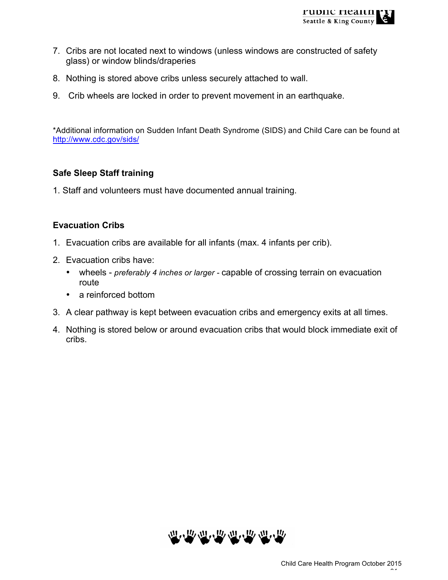- 7. Cribs are not located next to windows (unless windows are constructed of safety glass) or window blinds/draperies
- 8. Nothing is stored above cribs unless securely attached to wall.
- 9. Crib wheels are locked in order to prevent movement in an earthquake.

\*Additional information on Sudden Infant Death Syndrome (SIDS) and Child Care can be found at http://www.cdc.gov/sids/

### **Safe Sleep Staff training**

1. Staff and volunteers must have documented annual training.

### **Evacuation Cribs**

- 1. Evacuation cribs are available for all infants (max. 4 infants per crib).
- 2. Evacuation cribs have:
	- wheels *preferably 4 inches or larger -* capable of crossing terrain on evacuation route
	- a reinforced bottom
- 3. A clear pathway is kept between evacuation cribs and emergency exits at all times.
- 4. Nothing is stored below or around evacuation cribs that would block immediate exit of cribs.

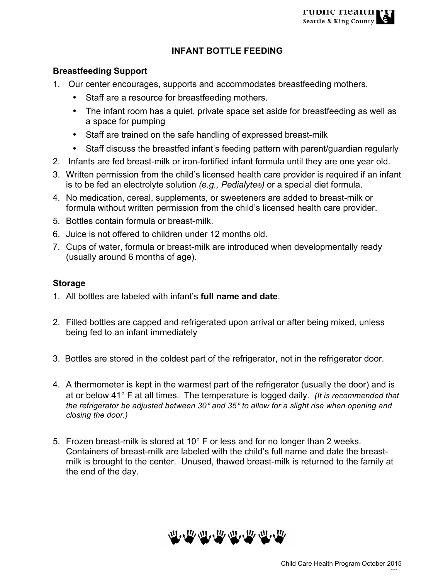## **INFANT BOTTLE FEEDING**

### **Breastfeeding Support**

- 1. Our center encourages, supports and accommodates breastfeeding mothers.
	- Staff are a resource for breastfeeding mothers.
	- The infant room has a quiet, private space set aside for breastfeeding as well as a space for pumping
	- Staff are trained on the safe handling of expressed breast-milk
	- Staff discuss the breastfed infant's feeding pattern with parent/guardian regularly
- 2. Infants are fed breast-milk or iron-fortified infant formula until they are one year old.
- 3. Written permission from the child's licensed health care provider is required if an infant is to be fed an electrolyte solution *(e.g., Pedialyte®)* or a special diet formula.
- 4. No medication, cereal, supplements, or sweeteners are added to breast-milk or formula without written permission from the child's licensed health care provider.
- 5. Bottles contain formula or breast-milk.
- 6. Juice is not offered to children under 12 months old.
- 7. Cups of water, formula or breast-milk are introduced when developmentally ready (usually around 6 months of age).

## **Storage**

- 1. All bottles are labeled with infant's **full name and date**.
- 2. Filled bottles are capped and refrigerated upon arrival or after being mixed, unless being fed to an infant immediately
- 3. Bottles are stored in the coldest part of the refrigerator, not in the refrigerator door.
- 4. A thermometer is kept in the warmest part of the refrigerator (usually the door) and is at or below 41° F at all times. The temperature is logged daily. *(It is recommended that the refrigerator be adjusted between 30*° *and 35*° *to allow for a slight rise when opening and closing the door.)*
- 5. Frozen breast-milk is stored at 10° F or less and for no longer than 2 weeks. Containers of breast-milk are labeled with the child's full name and date the breastmilk is brought to the center. Unused, thawed breast-milk is returned to the family at the end of the day.

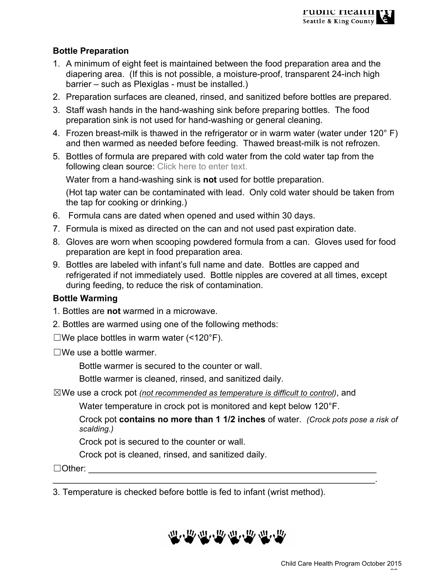## **Bottle Preparation**

- 1. A minimum of eight feet is maintained between the food preparation area and the diapering area. (If this is not possible, a moisture-proof, transparent 24-inch high barrier – such as Plexiglas - must be installed.)
- 2. Preparation surfaces are cleaned, rinsed, and sanitized before bottles are prepared.
- 3. Staff wash hands in the hand-washing sink before preparing bottles. The food preparation sink is not used for hand-washing or general cleaning.
- 4. Frozen breast-milk is thawed in the refrigerator or in warm water (water under 120° F) and then warmed as needed before feeding. Thawed breast-milk is not refrozen.
- 5. Bottles of formula are prepared with cold water from the cold water tap from the following clean source: Click here to enter text.

Water from a hand-washing sink is **not** used for bottle preparation.

(Hot tap water can be contaminated with lead. Only cold water should be taken from the tap for cooking or drinking.)

- 6. Formula cans are dated when opened and used within 30 days.
- 7. Formula is mixed as directed on the can and not used past expiration date.
- 8. Gloves are worn when scooping powdered formula from a can. Gloves used for food preparation are kept in food preparation area.
- 9. Bottles are labeled with infant's full name and date. Bottles are capped and refrigerated if not immediately used. Bottle nipples are covered at all times, except during feeding, to reduce the risk of contamination.

## **Bottle Warming**

- 1. Bottles are **not** warmed in a microwave.
- 2. Bottles are warmed using one of the following methods:
- $\square$ We place bottles in warm water (<120°F).
- $\square$ We use a bottle warmer.

Bottle warmer is secured to the counter or wall.

Bottle warmer is cleaned, rinsed, and sanitized daily.

☒We use a crock pot *(not recommended as temperature is difficult to control)*, and

Water temperature in crock pot is monitored and kept below 120°F.

 $\mathcal{L}_\mathcal{L} = \mathcal{L}_\mathcal{L} = \mathcal{L}_\mathcal{L} = \mathcal{L}_\mathcal{L} = \mathcal{L}_\mathcal{L} = \mathcal{L}_\mathcal{L} = \mathcal{L}_\mathcal{L} = \mathcal{L}_\mathcal{L} = \mathcal{L}_\mathcal{L} = \mathcal{L}_\mathcal{L} = \mathcal{L}_\mathcal{L} = \mathcal{L}_\mathcal{L} = \mathcal{L}_\mathcal{L} = \mathcal{L}_\mathcal{L} = \mathcal{L}_\mathcal{L} = \mathcal{L}_\mathcal{L} = \mathcal{L}_\mathcal{L}$ 

Crock pot **contains no more than 1 1/2 inches** of water. *(Crock pots pose a risk of scalding.)*

Crock pot is secured to the counter or wall.

Crock pot is cleaned, rinsed, and sanitized daily.

 $\Box$  Other:  $\Box$ 

3. Temperature is checked before bottle is fed to infant (wrist method).

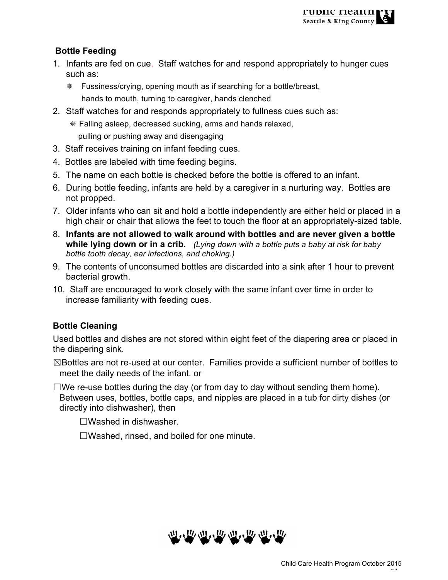# **Bottle Feeding**

- 1. Infants are fed on cue. Staff watches for and respond appropriately to hunger cues such as:
	- ¯ Fussiness/crying, opening mouth as if searching for a bottle/breast, hands to mouth, turning to caregiver, hands clenched
- 2. Staff watches for and responds appropriately to fullness cues such as:
	- \* Falling asleep, decreased sucking, arms and hands relaxed, pulling or pushing away and disengaging
- 3. Staff receives training on infant feeding cues.
- 4. Bottles are labeled with time feeding begins.
- 5. The name on each bottle is checked before the bottle is offered to an infant.
- 6. During bottle feeding, infants are held by a caregiver in a nurturing way. Bottles are not propped.
- 7. Older infants who can sit and hold a bottle independently are either held or placed in a high chair or chair that allows the feet to touch the floor at an appropriately-sized table.
- 8. **Infants are not allowed to walk around with bottles and are never given a bottle while lying down or in a crib.** *(Lying down with a bottle puts a baby at risk for baby bottle tooth decay, ear infections, and choking.)*
- 9. The contents of unconsumed bottles are discarded into a sink after 1 hour to prevent bacterial growth.
- 10. Staff are encouraged to work closely with the same infant over time in order to increase familiarity with feeding cues.

# **Bottle Cleaning**

Used bottles and dishes are not stored within eight feet of the diapering area or placed in the diapering sink.

☒Bottles are not re-used at our center. Families provide a sufficient number of bottles to meet the daily needs of the infant. or

 $\square$ We re-use bottles during the day (or from day to day without sending them home). Between uses, bottles, bottle caps, and nipples are placed in a tub for dirty dishes (or directly into dishwasher), then

☐Washed in dishwasher.

☐Washed, rinsed, and boiled for one minute.

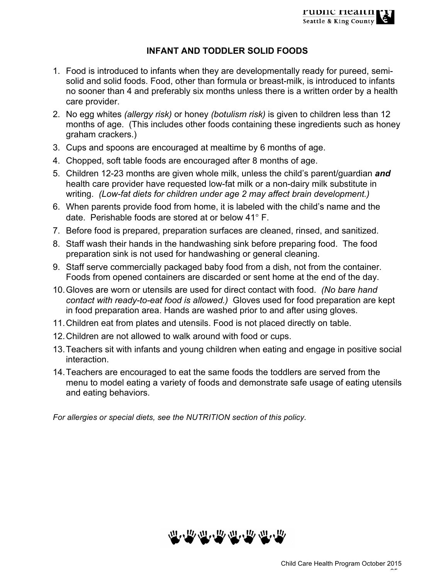## **INFANT AND TODDLER SOLID FOODS**

- 1. Food is introduced to infants when they are developmentally ready for pureed, semisolid and solid foods. Food, other than formula or breast-milk, is introduced to infants no sooner than 4 and preferably six months unless there is a written order by a health care provider.
- 2. No egg whites *(allergy risk)* or honey *(botulism risk)* is given to children less than 12 months of age. (This includes other foods containing these ingredients such as honey graham crackers.)
- 3. Cups and spoons are encouraged at mealtime by 6 months of age.
- 4. Chopped, soft table foods are encouraged after 8 months of age.
- 5. Children 12-23 months are given whole milk, unless the child's parent/guardian *and* health care provider have requested low-fat milk or a non-dairy milk substitute in writing. *(Low-fat diets for children under age 2 may affect brain development.)*
- 6. When parents provide food from home, it is labeled with the child's name and the date. Perishable foods are stored at or below 41° F.
- 7. Before food is prepared, preparation surfaces are cleaned, rinsed, and sanitized.
- 8. Staff wash their hands in the handwashing sink before preparing food. The food preparation sink is not used for handwashing or general cleaning.
- 9. Staff serve commercially packaged baby food from a dish, not from the container. Foods from opened containers are discarded or sent home at the end of the day.
- 10.Gloves are worn or utensils are used for direct contact with food. *(No bare hand contact with ready-to-eat food is allowed.)* Gloves used for food preparation are kept in food preparation area. Hands are washed prior to and after using gloves.
- 11.Children eat from plates and utensils. Food is not placed directly on table.
- 12.Children are not allowed to walk around with food or cups.
- 13.Teachers sit with infants and young children when eating and engage in positive social interaction.
- 14.Teachers are encouraged to eat the same foods the toddlers are served from the menu to model eating a variety of foods and demonstrate safe usage of eating utensils and eating behaviors.

*For allergies or special diets, see the NUTRITION section of this policy.*

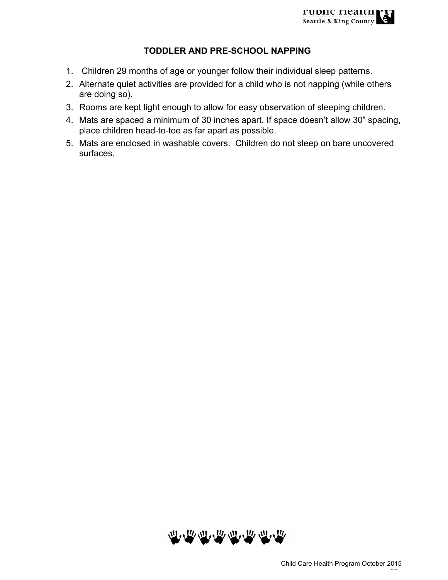## **TODDLER AND PRE-SCHOOL NAPPING**

- 1. Children 29 months of age or younger follow their individual sleep patterns.
- 2. Alternate quiet activities are provided for a child who is not napping (while others are doing so).
- 3. Rooms are kept light enough to allow for easy observation of sleeping children.
- 4. Mats are spaced a minimum of 30 inches apart. If space doesn't allow 30" spacing, place children head-to-toe as far apart as possible.
- 5. Mats are enclosed in washable covers. Children do not sleep on bare uncovered surfaces.

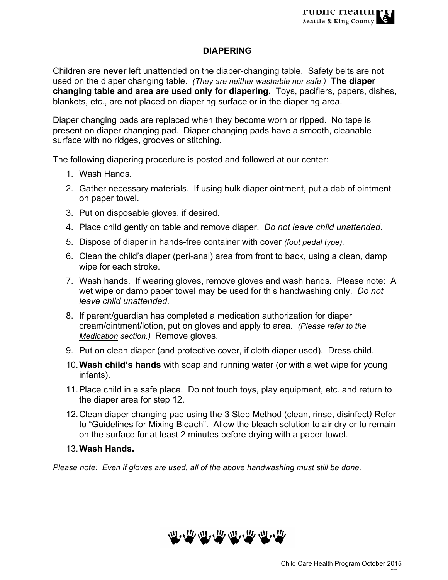## **DIAPERING**

Children are **never** left unattended on the diaper-changing table. Safety belts are not used on the diaper changing table. *(They are neither washable nor safe.)* **The diaper changing table and area are used only for diapering.** Toys, pacifiers, papers, dishes, blankets, etc., are not placed on diapering surface or in the diapering area.

Diaper changing pads are replaced when they become worn or ripped. No tape is present on diaper changing pad. Diaper changing pads have a smooth, cleanable surface with no ridges, grooves or stitching.

The following diapering procedure is posted and followed at our center:

- 1. Wash Hands.
- 2. Gather necessary materials. If using bulk diaper ointment, put a dab of ointment on paper towel.
- 3. Put on disposable gloves, if desired.
- 4. Place child gently on table and remove diaper. *Do not leave child unattended*.
- 5. Dispose of diaper in hands-free container with cover *(foot pedal type).*
- 6. Clean the child's diaper (peri-anal) area from front to back, using a clean, damp wipe for each stroke.
- 7. Wash hands. If wearing gloves, remove gloves and wash hands. Please note: A wet wipe or damp paper towel may be used for this handwashing only. *Do not leave child unattended*.
- 8. If parent/guardian has completed a medication authorization for diaper cream/ointment/lotion, put on gloves and apply to area. *(Please refer to the Medication section.)* Remove gloves.
- 9. Put on clean diaper (and protective cover, if cloth diaper used). Dress child.
- 10.**Wash child's hands** with soap and running water (or with a wet wipe for young infants).
- 11.Place child in a safe place. Do not touch toys, play equipment, etc. and return to the diaper area for step 12.
- 12.Clean diaper changing pad using the 3 Step Method (clean, rinse, disinfect*)* Refer to "Guidelines for Mixing Bleach". Allow the bleach solution to air dry or to remain on the surface for at least 2 minutes before drying with a paper towel.
- 13.**Wash Hands.**

*Please note: Even if gloves are used, all of the above handwashing must still be done.*

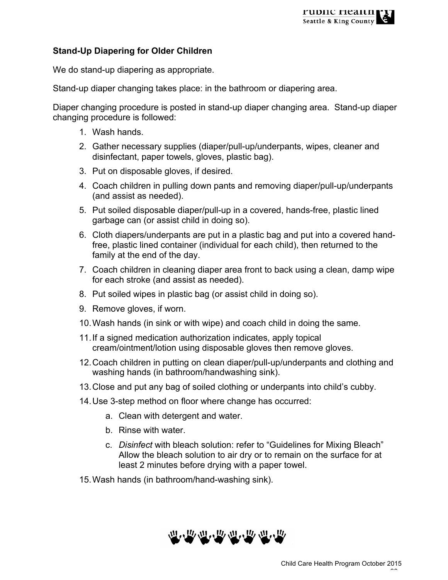## **Stand-Up Diapering for Older Children**

We do stand-up diapering as appropriate.

Stand-up diaper changing takes place: in the bathroom or diapering area.

Diaper changing procedure is posted in stand-up diaper changing area. Stand-up diaper changing procedure is followed:

- 1. Wash hands.
- 2. Gather necessary supplies (diaper/pull-up/underpants, wipes, cleaner and disinfectant, paper towels, gloves, plastic bag).
- 3. Put on disposable gloves, if desired.
- 4. Coach children in pulling down pants and removing diaper/pull-up/underpants (and assist as needed).
- 5. Put soiled disposable diaper/pull-up in a covered, hands-free, plastic lined garbage can (or assist child in doing so).
- 6. Cloth diapers/underpants are put in a plastic bag and put into a covered handfree, plastic lined container (individual for each child), then returned to the family at the end of the day.
- 7. Coach children in cleaning diaper area front to back using a clean, damp wipe for each stroke (and assist as needed).
- 8. Put soiled wipes in plastic bag (or assist child in doing so).
- 9. Remove gloves, if worn.
- 10.Wash hands (in sink or with wipe) and coach child in doing the same.
- 11.If a signed medication authorization indicates, apply topical cream/ointment/lotion using disposable gloves then remove gloves.
- 12.Coach children in putting on clean diaper/pull-up/underpants and clothing and washing hands (in bathroom/handwashing sink).
- 13.Close and put any bag of soiled clothing or underpants into child's cubby.
- 14.Use 3-step method on floor where change has occurred:
	- a. Clean with detergent and water.
	- b. Rinse with water.
	- c. *Disinfect* with bleach solution: refer to "Guidelines for Mixing Bleach" Allow the bleach solution to air dry or to remain on the surface for at least 2 minutes before drying with a paper towel.
- 15.Wash hands (in bathroom/hand-washing sink).

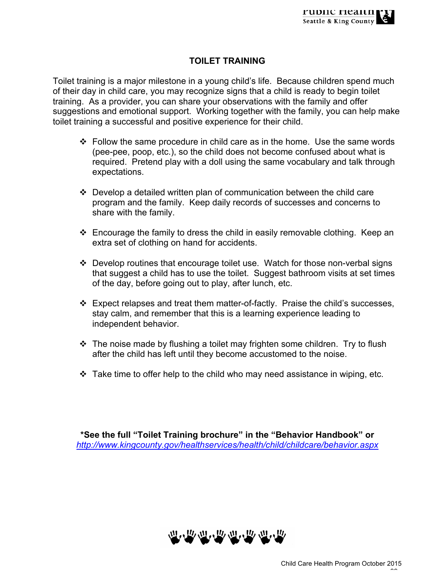## **TOILET TRAINING**

Toilet training is a major milestone in a young child's life. Because children spend much of their day in child care, you may recognize signs that a child is ready to begin toilet training. As a provider, you can share your observations with the family and offer suggestions and emotional support. Working together with the family, you can help make toilet training a successful and positive experience for their child.

- $\div$  Follow the same procedure in child care as in the home. Use the same words (pee-pee, poop, etc.), so the child does not become confused about what is required. Pretend play with a doll using the same vocabulary and talk through expectations.
- $\div$  Develop a detailed written plan of communication between the child care program and the family. Keep daily records of successes and concerns to share with the family.
- $\cdot$  Encourage the family to dress the child in easily removable clothing. Keep an extra set of clothing on hand for accidents.
- ❖ Develop routines that encourage toilet use. Watch for those non-verbal signs that suggest a child has to use the toilet. Suggest bathroom visits at set times of the day, before going out to play, after lunch, etc.
- $\div$  Expect relapses and treat them matter-of-factly. Praise the child's successes, stay calm, and remember that this is a learning experience leading to independent behavior.
- $\cdot$  The noise made by flushing a toilet may frighten some children. Try to flush after the child has left until they become accustomed to the noise.
- $\cdot$  Take time to offer help to the child who may need assistance in wiping, etc.

**\*See the full "Toilet Training brochure" in the "Behavior Handbook" or**  *http://www.kingcounty.gov/healthservices/health/child/childcare/behavior.aspx*

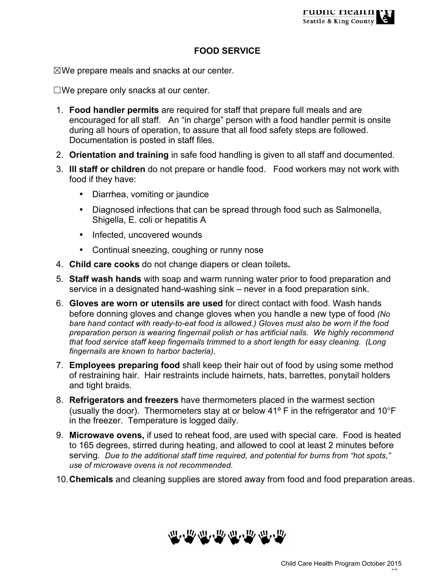### **FOOD SERVICE**

 $\boxtimes$ We prepare meals and snacks at our center.

☐We prepare only snacks at our center.

- 1. **Food handler permits** are required for staff that prepare full meals and are encouraged for all staff. An "in charge" person with a food handler permit is onsite during all hours of operation, to assure that all food safety steps are followed. Documentation is posted in staff files.
- 2. **Orientation and training** in safe food handling is given to all staff and documented.
- 3. **Ill staff or children** do not prepare or handle food. Food workers may not work with food if they have:
	- Diarrhea, vomiting or jaundice
	- Diagnosed infections that can be spread through food such as Salmonella, Shigella, E. coli or hepatitis A
	- Infected, uncovered wounds
	- Continual sneezing, coughing or runny nose
- 4. **Child care cooks** do not change diapers or clean toilets**.**
- 5. **Staff wash hands** with soap and warm running water prior to food preparation and service in a designated hand-washing sink – never in a food preparation sink.
- 6. **Gloves are worn or utensils are used** for direct contact with food. Wash hands before donning gloves and change gloves when you handle a new type of food *(No bare hand contact with ready-to-eat food is allowed.) Gloves must also be worn if the food preparation person is wearing fingernail polish or has artificial nails.**We highly recommend that food service staff keep fingernails trimmed to a short length for easy cleaning. (Long fingernails are known to harbor bacteria).*
- 7. **Employees preparing food** shall keep their hair out of food by using some method of restraining hair. Hair restraints include hairnets, hats, barrettes, ponytail holders and tight braids.
- 8. **Refrigerators and freezers** have thermometers placed in the warmest section (usually the door). Thermometers stay at or below 41º F in the refrigerator and 10°F in the freezer. Temperature is logged daily.
- 9. **Microwave ovens,** if used to reheat food, are used with special care. Food is heated to 165 degrees, stirred during heating, and allowed to cool at least 2 minutes before serving. *Due to the additional staff time required, and potential for burns from "hot spots," use of microwave ovens is not recommended.*
- 10.**Chemicals** and cleaning supplies are stored away from food and food preparation areas.

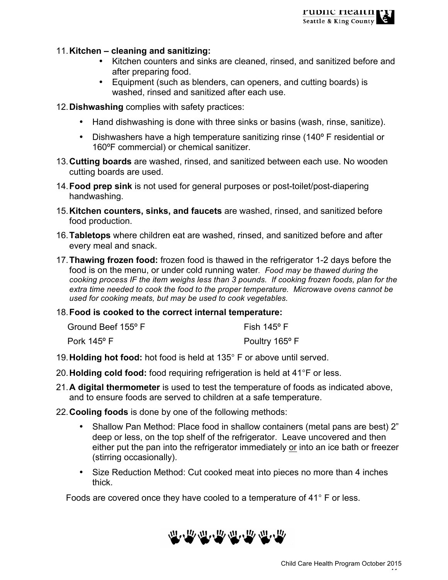#### 11.**Kitchen – cleaning and sanitizing:**

- Kitchen counters and sinks are cleaned, rinsed, and sanitized before and after preparing food.
- Equipment (such as blenders, can openers, and cutting boards) is washed, rinsed and sanitized after each use.
- 12.**Dishwashing** complies with safety practices:
	- Hand dishwashing is done with three sinks or basins (wash, rinse, sanitize).
	- Dishwashers have a high temperature sanitizing rinse (140° F residential or 160ºF commercial) or chemical sanitizer.
- 13.**Cutting boards** are washed, rinsed, and sanitized between each use. No wooden cutting boards are used.
- 14.**Food prep sink** is not used for general purposes or post-toilet/post-diapering handwashing.
- 15.**Kitchen counters, sinks, and faucets** are washed, rinsed, and sanitized before food production.
- 16.**Tabletops** where children eat are washed, rinsed, and sanitized before and after every meal and snack.
- 17.**Thawing frozen food:** frozen food is thawed in the refrigerator 1-2 days before the food is on the menu, or under cold running water*. Food may be thawed during the cooking process IF the item weighs less than 3 pounds. If cooking frozen foods, plan for the extra time needed to cook the food to the proper temperature. Microwave ovens cannot be used for cooking meats, but may be used to cook vegetables.*
- 18.**Food is cooked to the correct internal temperature:**

| Ground Beef 155° F   | Fish 145° F                |
|----------------------|----------------------------|
| Pork $145^{\circ}$ F | Poultry 165 <sup>°</sup> F |

- 19.**Holding hot food:** hot food is held at 135° F or above until served.
- 20.**Holding cold food:** food requiring refrigeration is held at 41°F or less.
- 21.**A digital thermometer** is used to test the temperature of foods as indicated above, and to ensure foods are served to children at a safe temperature.
- 22.**Cooling foods** is done by one of the following methods:
	- Shallow Pan Method: Place food in shallow containers (metal pans are best) 2" deep or less, on the top shelf of the refrigerator. Leave uncovered and then either put the pan into the refrigerator immediately or into an ice bath or freezer (stirring occasionally).
	- Size Reduction Method: Cut cooked meat into pieces no more than 4 inches thick.

Foods are covered once they have cooled to a temperature of 41° F or less.

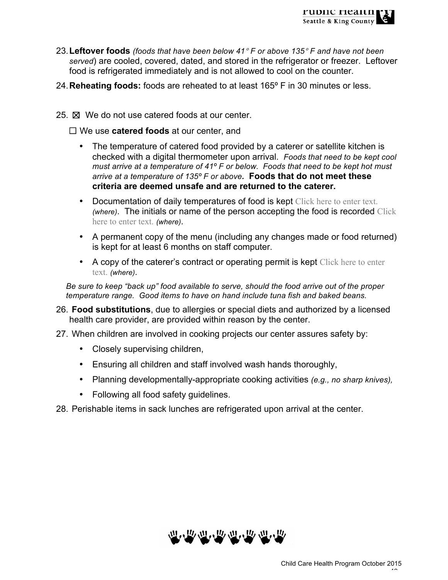

- 23.**Leftover foods** *(foods that have been below 41*° *F or above 135*° *F and have not been served*) are cooled, covered, dated, and stored in the refrigerator or freezer. Leftover food is refrigerated immediately and is not allowed to cool on the counter.
- 24.**Reheating foods:** foods are reheated to at least 165º F in 30 minutes or less.
- 25.  $\boxtimes$  We do not use catered foods at our center.

☐ We use **catered foods** at our center, and

- The temperature of catered food provided by a caterer or satellite kitchen is checked with a digital thermometer upon arrival. *Foods that need to be kept cool must arrive at a temperature of 41º F or below. Foods that need to be kept hot must arrive at a temperature of 135º F or above.* **Foods that do not meet these criteria are deemed unsafe and are returned to the caterer.**
- Documentation of daily temperatures of food is kept Click here to enter text. *(where)*. The initials or name of the person accepting the food is recorded Click here to enter text. *(where)*.
- A permanent copy of the menu (including any changes made or food returned) is kept for at least 6 months on staff computer.
- A copy of the caterer's contract or operating permit is kept Click here to enter text. *(where)*.

*Be sure to keep "back up" food available to serve, should the food arrive out of the proper temperature range. Good items to have on hand include tuna fish and baked beans.*

- 26. **Food substitutions**, due to allergies or special diets and authorized by a licensed health care provider, are provided within reason by the center.
- 27. When children are involved in cooking projects our center assures safety by:
	- Closely supervising children,
	- Ensuring all children and staff involved wash hands thoroughly,
	- Planning developmentally-appropriate cooking activities *(e.g., no sharp knives),*
	- Following all food safety guidelines.

28. Perishable items in sack lunches are refrigerated upon arrival at the center.

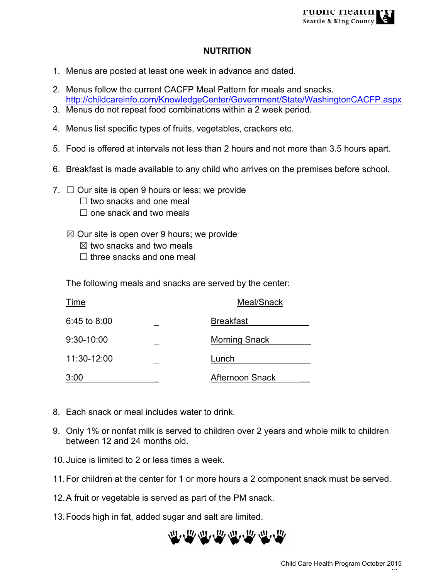## **NUTRITION**

- 1. Menus are posted at least one week in advance and dated.
- 2. Menus follow the current CACFP Meal Pattern for meals and snacks. http://childcareinfo.com/KnowledgeCenter/Government/State/WashingtonCACFP.aspx
- 3. Menus do not repeat food combinations within a 2 week period.
- 4. Menus list specific types of fruits, vegetables, crackers etc.
- 5. Food is offered at intervals not less than 2 hours and not more than 3.5 hours apart.
- 6. Breakfast is made available to any child who arrives on the premises before school.
- 7.  $\Box$  Our site is open 9 hours or less; we provide
	- $\Box$  two snacks and one meal
	- $\Box$  one snack and two meals
	- $\boxtimes$  Our site is open over 9 hours; we provide
		- $\boxtimes$  two snacks and two meals
		- $\Box$  three snacks and one meal

The following meals and snacks are served by the center:

| Time           | Meal/Snack |                      |
|----------------|------------|----------------------|
| $6:45$ to 8:00 |            | <b>Breakfast</b>     |
| 9:30-10:00     |            | <b>Morning Snack</b> |
| 11:30-12:00    |            | Lunch                |
| 3:00           |            | Afternoon Snack      |

- 8. Each snack or meal includes water to drink.
- 9. Only 1% or nonfat milk is served to children over 2 years and whole milk to children between 12 and 24 months old.
- 10.Juice is limited to 2 or less times a week.
- 11.For children at the center for 1 or more hours a 2 component snack must be served.
- 12.A fruit or vegetable is served as part of the PM snack.
- 13.Foods high in fat, added sugar and salt are limited.

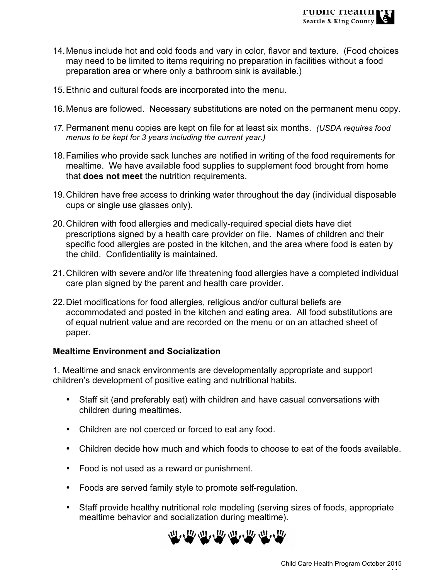- 14.Menus include hot and cold foods and vary in color, flavor and texture. (Food choices may need to be limited to items requiring no preparation in facilities without a food preparation area or where only a bathroom sink is available.)
- 15.Ethnic and cultural foods are incorporated into the menu.
- 16.Menus are followed. Necessary substitutions are noted on the permanent menu copy.
- *17.* Permanent menu copies are kept on file for at least six months. *(USDA requires food menus to be kept for 3 years including the current year.)*
- 18.Families who provide sack lunches are notified in writing of the food requirements for mealtime. We have available food supplies to supplement food brought from home that **does not meet** the nutrition requirements.
- 19.Children have free access to drinking water throughout the day (individual disposable cups or single use glasses only).
- 20.Children with food allergies and medically-required special diets have diet prescriptions signed by a health care provider on file. Names of children and their specific food allergies are posted in the kitchen, and the area where food is eaten by the child. Confidentiality is maintained.
- 21.Children with severe and/or life threatening food allergies have a completed individual care plan signed by the parent and health care provider.
- 22.Diet modifications for food allergies, religious and/or cultural beliefs are accommodated and posted in the kitchen and eating area. All food substitutions are of equal nutrient value and are recorded on the menu or on an attached sheet of paper.

### **Mealtime Environment and Socialization**

1. Mealtime and snack environments are developmentally appropriate and support children's development of positive eating and nutritional habits.

- Staff sit (and preferably eat) with children and have casual conversations with children during mealtimes.
- Children are not coerced or forced to eat any food.
- Children decide how much and which foods to choose to eat of the foods available.
- Food is not used as a reward or punishment.
- Foods are served family style to promote self-regulation.
- Staff provide healthy nutritional role modeling (serving sizes of foods, appropriate mealtime behavior and socialization during mealtime).

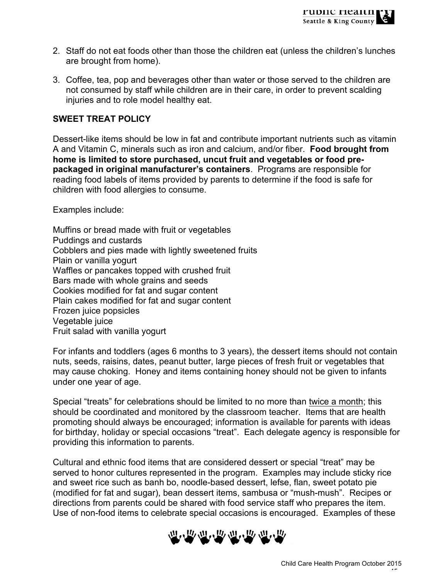- 2. Staff do not eat foods other than those the children eat (unless the children's lunches are brought from home).
- 3. Coffee, tea, pop and beverages other than water or those served to the children are not consumed by staff while children are in their care, in order to prevent scalding injuries and to role model healthy eat.

### **SWEET TREAT POLICY**

Dessert-like items should be low in fat and contribute important nutrients such as vitamin A and Vitamin C, minerals such as iron and calcium, and/or fiber. **Food brought from home is limited to store purchased, uncut fruit and vegetables or food prepackaged in original manufacturer's containers**. Programs are responsible for reading food labels of items provided by parents to determine if the food is safe for children with food allergies to consume.

Examples include:

Muffins or bread made with fruit or vegetables Puddings and custards Cobblers and pies made with lightly sweetened fruits Plain or vanilla yogurt Waffles or pancakes topped with crushed fruit Bars made with whole grains and seeds Cookies modified for fat and sugar content Plain cakes modified for fat and sugar content Frozen juice popsicles Vegetable juice Fruit salad with vanilla yogurt

For infants and toddlers (ages 6 months to 3 years), the dessert items should not contain nuts, seeds, raisins, dates, peanut butter, large pieces of fresh fruit or vegetables that may cause choking. Honey and items containing honey should not be given to infants under one year of age.

Special "treats" for celebrations should be limited to no more than twice a month; this should be coordinated and monitored by the classroom teacher. Items that are health promoting should always be encouraged; information is available for parents with ideas for birthday, holiday or special occasions "treat". Each delegate agency is responsible for providing this information to parents.

Cultural and ethnic food items that are considered dessert or special "treat" may be served to honor cultures represented in the program. Examples may include sticky rice and sweet rice such as banh bo, noodle-based dessert, lefse, flan, sweet potato pie (modified for fat and sugar), bean dessert items, sambusa or "mush-mush". Recipes or directions from parents could be shared with food service staff who prepares the item. Use of non-food items to celebrate special occasions is encouraged. Examples of these

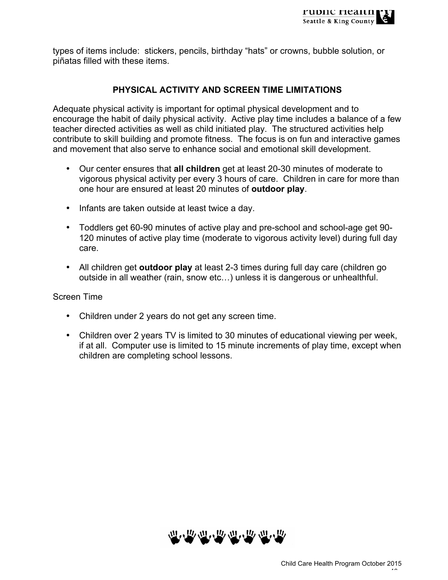types of items include: stickers, pencils, birthday "hats" or crowns, bubble solution, or piñatas filled with these items.

## **PHYSICAL ACTIVITY AND SCREEN TIME LIMITATIONS**

Adequate physical activity is important for optimal physical development and to encourage the habit of daily physical activity. Active play time includes a balance of a few teacher directed activities as well as child initiated play. The structured activities help contribute to skill building and promote fitness. The focus is on fun and interactive games and movement that also serve to enhance social and emotional skill development.

- Our center ensures that **all children** get at least 20-30 minutes of moderate to vigorous physical activity per every 3 hours of care. Children in care for more than one hour are ensured at least 20 minutes of **outdoor play**.
- Infants are taken outside at least twice a day.
- Toddlers get 60-90 minutes of active play and pre-school and school-age get 90- 120 minutes of active play time (moderate to vigorous activity level) during full day care.
- All children get **outdoor play** at least 2-3 times during full day care (children go outside in all weather (rain, snow etc…) unless it is dangerous or unhealthful.

### Screen Time

- Children under 2 years do not get any screen time.
- Children over 2 years TV is limited to 30 minutes of educational viewing per week, if at all. Computer use is limited to 15 minute increments of play time, except when children are completing school lessons.

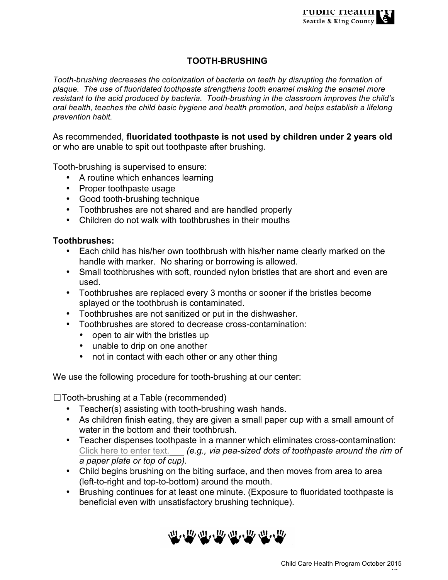## **TOOTH-BRUSHING**

*Tooth-brushing decreases the colonization of bacteria on teeth by disrupting the formation of plaque. The use of fluoridated toothpaste strengthens tooth enamel making the enamel more resistant to the acid produced by bacteria. Tooth-brushing in the classroom improves the child's oral health, teaches the child basic hygiene and health promotion, and helps establish a lifelong prevention habit.*

As recommended, **fluoridated toothpaste is not used by children under 2 years old**  or who are unable to spit out toothpaste after brushing.

Tooth-brushing is supervised to ensure:

- A routine which enhances learning
- Proper toothpaste usage
- Good tooth-brushing technique
- Toothbrushes are not shared and are handled properly
- Children do not walk with toothbrushes in their mouths

#### **Toothbrushes:**

- Each child has his/her own toothbrush with his/her name clearly marked on the handle with marker. No sharing or borrowing is allowed.
- Small toothbrushes with soft, rounded nylon bristles that are short and even are used.
- Toothbrushes are replaced every 3 months or sooner if the bristles become splayed or the toothbrush is contaminated.
- Toothbrushes are not sanitized or put in the dishwasher.
- Toothbrushes are stored to decrease cross-contamination:
	- open to air with the bristles up
	- unable to drip on one another
	- not in contact with each other or any other thing

We use the following procedure for tooth-brushing at our center:

☐Tooth-brushing at a Table (recommended)

- Teacher(s) assisting with tooth-brushing wash hands.
- As children finish eating, they are given a small paper cup with a small amount of water in the bottom and their toothbrush.
- Teacher dispenses toothpaste in a manner which eliminates cross-contamination: Click here to enter text.\_\_\_ *(e.g., via pea-sized dots of toothpaste around the rim of a paper plate or top of cup).*
- Child begins brushing on the biting surface, and then moves from area to area (left-to-right and top-to-bottom) around the mouth.
- Brushing continues for at least one minute. (Exposure to fluoridated toothpaste is beneficial even with unsatisfactory brushing technique).

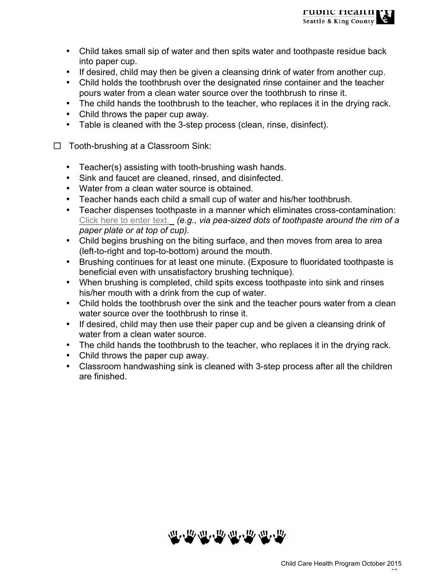- Child takes small sip of water and then spits water and toothpaste residue back into paper cup.
- If desired, child may then be given a cleansing drink of water from another cup.
- Child holds the toothbrush over the designated rinse container and the teacher pours water from a clean water source over the toothbrush to rinse it.
- The child hands the toothbrush to the teacher, who replaces it in the drying rack.
- Child throws the paper cup away.
- Table is cleaned with the 3-step process (clean, rinse, disinfect).
- ☐Tooth-brushing at a Classroom Sink:
	- Teacher(s) assisting with tooth-brushing wash hands.
	- Sink and faucet are cleaned, rinsed, and disinfected.
	- Water from a clean water source is obtained.
	- Teacher hands each child a small cup of water and his/her toothbrush.
	- Teacher dispenses toothpaste in a manner which eliminates cross-contamination: Click here to enter text.\_ *(e.g., via pea-sized dots of toothpaste around the rim of a paper plate or at top of cup).*
	- Child begins brushing on the biting surface, and then moves from area to area (left-to-right and top-to-bottom) around the mouth.
	- Brushing continues for at least one minute. (Exposure to fluoridated toothpaste is beneficial even with unsatisfactory brushing technique).
	- When brushing is completed, child spits excess toothpaste into sink and rinses his/her mouth with a drink from the cup of water.
	- Child holds the toothbrush over the sink and the teacher pours water from a clean water source over the toothbrush to rinse it.
	- If desired, child may then use their paper cup and be given a cleansing drink of water from a clean water source.
	- The child hands the toothbrush to the teacher, who replaces it in the drying rack.
	- Child throws the paper cup away.
	- Classroom handwashing sink is cleaned with 3-step process after all the children are finished.

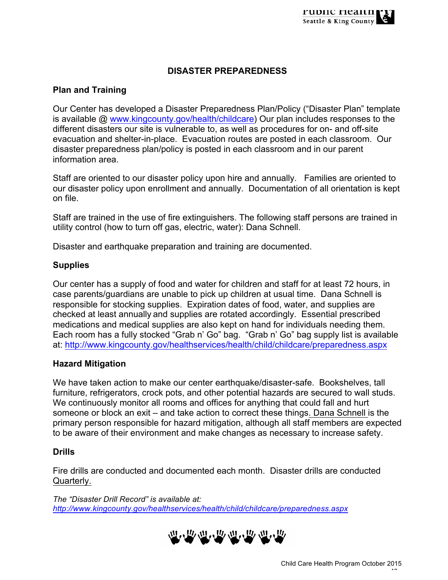## **DISASTER PREPAREDNESS**

## **Plan and Training**

Our Center has developed a Disaster Preparedness Plan/Policy ("Disaster Plan" template is available @ www.kingcounty.gov/health/childcare) Our plan includes responses to the different disasters our site is vulnerable to, as well as procedures for on- and off-site evacuation and shelter-in-place. Evacuation routes are posted in each classroom. Our disaster preparedness plan/policy is posted in each classroom and in our parent information area.

Staff are oriented to our disaster policy upon hire and annually. Families are oriented to our disaster policy upon enrollment and annually. Documentation of all orientation is kept on file.

Staff are trained in the use of fire extinguishers. The following staff persons are trained in utility control (how to turn off gas, electric, water): Dana Schnell.

Disaster and earthquake preparation and training are documented.

#### **Supplies**

Our center has a supply of food and water for children and staff for at least 72 hours, in case parents/guardians are unable to pick up children at usual time. Dana Schnell is responsible for stocking supplies. Expiration dates of food, water, and supplies are checked at least annually and supplies are rotated accordingly. Essential prescribed medications and medical supplies are also kept on hand for individuals needing them. Each room has a fully stocked "Grab n' Go" bag. "Grab n' Go" bag supply list is available at: http://www.kingcounty.gov/healthservices/health/child/childcare/preparedness.aspx

#### **Hazard Mitigation**

We have taken action to make our center earthquake/disaster-safe. Bookshelves, tall furniture, refrigerators, crock pots, and other potential hazards are secured to wall studs. We continuously monitor all rooms and offices for anything that could fall and hurt someone or block an exit – and take action to correct these things. Dana Schnell is the primary person responsible for hazard mitigation, although all staff members are expected to be aware of their environment and make changes as necessary to increase safety.

#### **Drills**

Fire drills are conducted and documented each month. Disaster drills are conducted Quarterly.

*The "Disaster Drill Record" is available at: http://www.kingcounty.gov/healthservices/health/child/childcare/preparedness.aspx*

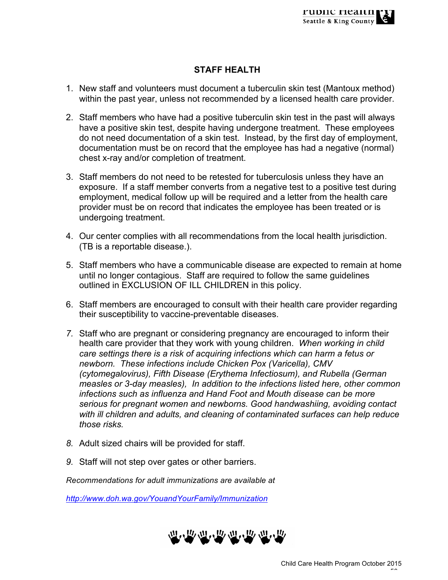## **STAFF HEALTH**

- 1. New staff and volunteers must document a tuberculin skin test (Mantoux method) within the past year, unless not recommended by a licensed health care provider.
- 2. Staff members who have had a positive tuberculin skin test in the past will always have a positive skin test, despite having undergone treatment. These employees do not need documentation of a skin test. Instead, by the first day of employment, documentation must be on record that the employee has had a negative (normal) chest x-ray and/or completion of treatment.
- 3. Staff members do not need to be retested for tuberculosis unless they have an exposure. If a staff member converts from a negative test to a positive test during employment, medical follow up will be required and a letter from the health care provider must be on record that indicates the employee has been treated or is undergoing treatment.
- 4. Our center complies with all recommendations from the local health jurisdiction. (TB is a reportable disease.).
- 5. Staff members who have a communicable disease are expected to remain at home until no longer contagious. Staff are required to follow the same guidelines outlined in EXCLUSION OF ILL CHILDREN in this policy.
- 6. Staff members are encouraged to consult with their health care provider regarding their susceptibility to vaccine-preventable diseases.
- *7.* Staff who are pregnant or considering pregnancy are encouraged to inform their health care provider that they work with young children. *When working in child care settings there is a risk of acquiring infections which can harm a fetus or newborn. These infections include Chicken Pox (Varicella), CMV (cytomegalovirus), Fifth Disease (Erythema Infectiosum), and Rubella (German measles or 3-day measles), In addition to the infections listed here, other common infections such as influenza and Hand Foot and Mouth disease can be more serious for pregnant women and newborns. Good handwashiing, avoiding contact with ill children and adults, and cleaning of contaminated surfaces can help reduce those risks.*
- *8.* Adult sized chairs will be provided for staff.
- *9.* Staff will not step over gates or other barriers.

*Recommendations for adult immunizations are available at* 

*http://www.doh.wa.gov/YouandYourFamily/Immunization*

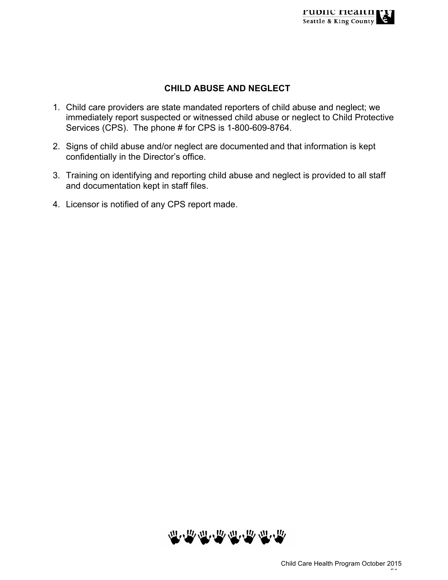## **CHILD ABUSE AND NEGLECT**

- 1. Child care providers are state mandated reporters of child abuse and neglect; we immediately report suspected or witnessed child abuse or neglect to Child Protective Services (CPS). The phone # for CPS is 1-800-609-8764.
- 2. Signs of child abuse and/or neglect are documented and that information is kept confidentially in the Director's office.
- 3. Training on identifying and reporting child abuse and neglect is provided to all staff and documentation kept in staff files.
- 4. Licensor is notified of any CPS report made.

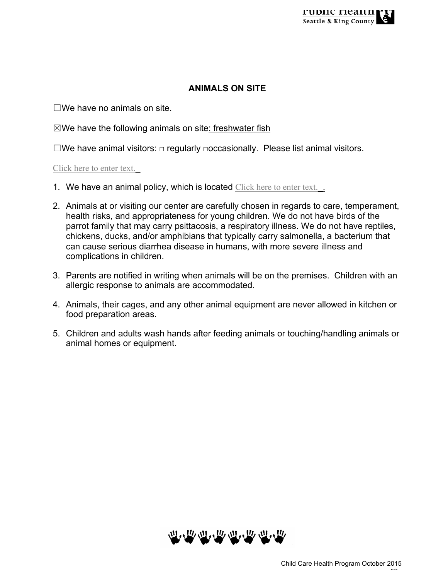### **ANIMALS ON SITE**

 $\square$ We have no animals on site.

 $\boxtimes$ We have the following animals on site: freshwater fish

☐We have animal visitors: □ regularly □occasionally. Please list animal visitors.

#### Click here to enter text.

- 1. We have an animal policy, which is located Click here to enter text...
- 2. Animals at or visiting our center are carefully chosen in regards to care, temperament, health risks, and appropriateness for young children. We do not have birds of the parrot family that may carry psittacosis, a respiratory illness. We do not have reptiles, chickens, ducks, and/or amphibians that typically carry salmonella, a bacterium that can cause serious diarrhea disease in humans, with more severe illness and complications in children.
- 3. Parents are notified in writing when animals will be on the premises. Children with an allergic response to animals are accommodated.
- 4. Animals, their cages, and any other animal equipment are never allowed in kitchen or food preparation areas.
- 5. Children and adults wash hands after feeding animals or touching/handling animals or animal homes or equipment.